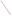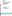

# **Environmental Technology Verification Program**  Advanced Monitoring Systems Pilot

Test/QA Plan for Verification of Ambient Fine Particle Monitors

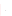# **TEST/QA PLAN**

**FOR** 

# **VERIFICATION OF AMBIENT FINE PARTICLE MONITORS**

**June 14, 2000** 

**Prepared by** 

**Battelle 505 King Avenue Columbus, OH 43201-2693**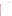Test/QA Plan for the Verification of Ambient Fine Particle Monitors Page ii of vi Version: 1.1 June 14, 2000

# **APPROVALS**

| Andersen Instruments Inc.         | Date |
|-----------------------------------|------|
| Dekati, Ltd.                      | Date |
| EcoChem Analytics                 | Date |
| Met One Instruments               | Date |
| Opsis AB                          | Date |
| Rupprecht & Patashnick, Co., Inc. | Date |
| TSI, Inc.                         | Date |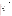Test/QA Plan for the Verification of Ambient Fine Particle Monitors Page iii of vi Version: 1.1 June 14, 2000

# **DISTRIBUTION**

Battelle has provided a copy of this Test/QA Plan to the following individuals.

# **EPA**

Robert Fuerst, Pilot Manager Elizabeth Hunike, Quality Assurance Elizabeth Betz, Quality Assurance

# **Battelle**

Karen Riggs, Pilot Manager Thomas Kelly, Verification Testing Leader Charles Lawrie, Quality Manager Kenneth Cowen, Verification Test Coordinator

## **Vendors**

Jim Morton, Andersen Instruments Inc. Ari Ukkonen, Dekati, Ltd. E. D. Chikhliwala, EcoChem Analytics Tom Merrifield, Met One Instruments Carl Kamme, Opsis AB Mike Meyer, Rupprecht & Patashnick, Co., Inc. Larry Paul, TSI, Inc.

## **AMS Pilot Stakeholders**

Jeff Cook, California Air Resources Board Rudy Eden, South Coast Air Quality Management District Tim Hanley, EPA/OAQPS

## **Test Site Management**

Judy Chow, Desert Research Institute Curt White, National Energy Technology Laboratory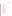Test/QA Plan for the Verification of Ambient Fine Particle Monitors Page iv of vi Version: 1.1 June 14, 2000

# **TABLE OF CONTENTS**

| 1.               |      |       |
|------------------|------|-------|
|                  | 1.1. |       |
|                  |      |       |
|                  |      | 1.1.2 |
|                  | 1.2. |       |
|                  | 1.3. |       |
| 2.               |      |       |
|                  | 2.1. |       |
|                  | 2.2. |       |
| 3.               |      |       |
|                  | 3.1. |       |
|                  | 3.2. |       |
|                  |      | 3.2.1 |
|                  |      | 3.2.2 |
|                  | 3.3. |       |
|                  | 3.4. |       |
|                  |      | 3.4.1 |
|                  |      | 3.4.2 |
|                  |      | 3.4.3 |
|                  | 3.5. |       |
|                  |      | 3.5.1 |
|                  |      | 3.5.2 |
|                  | 3.6. |       |
|                  |      | 3.6.1 |
|                  |      | 3.6.2 |
|                  |      | 3.6.3 |
|                  |      | 3.6.4 |
|                  |      | 3.6.5 |
|                  |      | 3.6.6 |
| $\overline{4}$ . |      |       |
|                  | 4.1. |       |
|                  | 4.2. |       |
|                  | 4.3. |       |
|                  |      |       |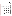|    |                              | 4.3.2<br>4.3.3<br>4.3.4<br>4.3.5          |
|----|------------------------------|-------------------------------------------|
| 5. | 5.1.<br>5.2.<br>5.3.<br>5.4. |                                           |
| 6. | 6.1.<br>6.2.<br>6.3.         | 6.3.1<br>6.3.2<br>6.3.3<br>6.3.4<br>6.3.5 |
|    | 6.4.                         | 6.4.1<br>6.4.2<br>6.4.3                   |
|    | 6.5.<br>6.6.<br>6.7.         | 6.5.1<br>6.5.2<br>6.5.3                   |
| 7. | 7.1.<br>7.2.<br>7.3.         | 7.3.1<br>7.3.2<br>7.3.3<br>7.3.4          |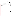|    |      | Test/QA Plan for the Verification |
|----|------|-----------------------------------|
|    |      | of Ambient Fine Particle Monitors |
|    |      | Page vi of vi                     |
|    |      | Version: 1.1                      |
|    |      | June 14, 2000                     |
|    | 7.4. |                                   |
| 8. |      |                                   |
| 9. |      |                                   |
|    |      |                                   |

# **LIST OF FIGURES**

|  |  |  |  |  |  | 1. Organizational Chart for Ambient Fine Particle Monitor Verification Test 28 |
|--|--|--|--|--|--|--------------------------------------------------------------------------------|
|--|--|--|--|--|--|--------------------------------------------------------------------------------|

# **LIST OF TABLES**

| 3. Summary of Data Comparisons to be Made |
|-------------------------------------------|
|                                           |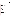Test/QA Plan for the Verification of Ambient Fine Particle Monitors Page vii of vi Version: 1.1 June 14, 2000

#### **ACRONYMS**

- **AMS** Advanced Monitoring Systems
- **APNM** Ambient Particulate Nitrate Monitor
- **APSM** Ambient Particulate Sulfate Monitor
- **ARB** Air Resources Board (same as CARB)
- **BAM** Beta attenuation monitor
- **CAC**  Correlated acceptable continuous
- **CAMM** Continuous Ambient Mass Monitor
- **CARB** California Air Resources Board (same as ARB)
- **CRPAQS** California Regional Particulate Air Quality Study
- **DOE** United States Department of Energy
- **DRI** Desert Research Institute
- **EC** Elemental carbon
- **ELPI** Electrical low pressure impactor
- **EPA** United States Environmental Protection Agency
- **ETV** Environmental Technology Verification
- **FEM** Federal equivalent method
- **FRM** Federal reference method
- **NAAQS** National Ambient Air Quality Standard
- **NAMS** National Air Monitoring Station
- **NETL** National Energy Technology Laboratory
- **OC** Organic carbon
- **PAMS** Photochemical Assessment Measurements Station
- **PM** Particulate matter
- **PM**<sub>2.5</sub> Particulate matter with an aerodynamic diameter less than 2.5  $\mu$ m
- **PM<sub>10</sub>** Particulate matter with an aerodynamic diameter less than 10  $\mu$ m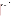Test/QA Plan for the Verification of Ambient Fine Particle Monitors Page viii of vi Version: 1.1 June 14, 2000

**QA** - Quality assurance **QC -** Quality control **QMP** - Quality management plan **SJVUAPCD** - San Joaquin Valley Unified Air Pollution Control District **SOP** - Standard operating procedure **TEOM™** - Tapered Element Oscillating Microbalance **TOR -** Thermal optical reflectance **UORVP** - Upper Ohio River Valley Project **WINS** - Well-Impactor Ninety Six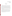# **1. INTRODUCTION**

#### **1.1. Background**

#### **1.1.1 ETV**

This test/QA plan provides detailed procedures for a verification test of monitors that continuously indicate the mass or chemical composition of fine particulate matter in ambient air. The verification test will be conducted under the auspices of the U.S. Environmental Protection Agency (EPA) through the Environmental Technology Verification (ETV) program. The purpose of ETV is to provide objective and quality assured performance data on environmental technologies, so that users, developers, regulators, and consultants can make informed decisions about these technologies. ETV verification does not imply approval, certification, or designation by EPA, but rather provides a quantitative assessment of the performance of a technology under the specified test conditions.

The verification test will be coordinated by Battelle, of Columbus, Ohio, which is managing the ETV Advanced Monitoring Systems (AMS) pilot through a cooperative agreement with EPA (CR 826215-01-1). The scope of the AMS pilot covers verification of monitoring technologies for contaminants and natural species in air, water, and soil. In performing the verification test, Battelle will follow the procedures specified in this test/QA plan, and will comply with the data quality requirements in the "Quality Management Plan for the ETV Advanced Monitoring Systems Pilot" (QMP).<sup>1</sup>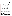Test/QA Plan for the Verification of Ambient Fine Particle Monitors Page 2 of 62 Version: 1.1 June 14, 2000

#### **1.1.2 Fine Particulate Monitoring**

The EPA promulgated changes to the National Ambient Air Quality Standard (NAAQS) for particulate matter (PM) in 1997.<sup>2</sup> Those changes call for revision of the existing  $PM_{10}$ standard and the addition of a new standard for  $PM_{2.5}$ . The revised standard also calls for the use of "correlated acceptable continuous" (CAC) monitors to supplement  $PM_2$ , sampling at community oriented (CORE) monitoring sites in large metropolitan areas. Additionally, a need to determine the chemical components of particulate matter has been identified,<sup>3</sup> and consequently, a network of speciation monitoring sites has been initiated.<sup>4</sup> As a result of these needs there has been substantial effort in the development of methods for PM monitoring.

Methods used for measurement of PM mass and chemical composition include both manual, filter-based methods, requiring sampling and subsequent laboratory analysis, and continuous or automated methods which provide results in real time or nearly real time.<sup>5</sup> Manual sampling methods are well established, and several commercial devices for such sampling have received Federal Reference Method (FRM) or Federal Equivalent Method (FEM) designation,<sup>6</sup> and are currently in widespread use for  $PM_{10}$  and  $PM_{2.5}$  monitoring. However, these filter-based methods suffer from a number of limitations including relatively poor time resolution (i.e., typically 24 hour), and the fact that they are rather labor intensive and typically require a number of activities to obtain a single result. As a result of these limitations, data from time-integrated filter-based methods are not suitable for some valuable non-compliance purposes, such as assessing short-term variability in PM, tracking source contributions, and monitoring human exposures. Furthermore, an additional limitation of these methods is the potential for the introduction of error, by improper handling, or the loss of volatile PM components.

In contrast, the primary advantages of continuous or automated monitors lie in their ability to continuously and rapidly assess particulate matter levels or composition with relatively little operator effort. The collection of real-time data of this type without the labor constraints imposed by the manual methods makes continuous monitors invaluable tools for some particulate matter monitoring applications. Indeed, many of these monitors have already been used for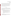Test/QA Plan for the Verification of Ambient Fine Particle Monitors Page 3 of 62 Version: 1.1 June 14, 2000

research purposes when rapid time response is needed in PM monitoring. However, only a few continuous monitors have received FEM designation status for  $PM_{10}$  monitoring, and none has received that status for  $PM<sub>2.5</sub>$  monitoring. This, along with a lack of independent verification data for these monitors, has limited their credibility and acceptance. Consequently, they are not yet widely used, despite considerable interest within the air monitoring and research communities. The aim of this verification test is to provide potential purchasers, users, and regulators of these monitors with quality assured performance data, with which informed decisions can be made about these monitors.

#### **1.2. Test Objective**

The purpose of this verification test is to evaluate the performance of a number of commercially available continuous, or semi-continuous monitors<sup>a</sup> of ambient fine particulate matter under realistic operating conditions. The performance of these monitors will be evaluated primarily by comparisons with specific reference methods to determine their ability to predict the results of those reference methods.

Specific objectives of the verification test for these monitors include:

- To assess the degree of agreement between these continuous technologies and time-integrated reference methods when possible, or the degree to which the technologies being verified can predict the results of the reference methods,
- To determine the intra-method precision of these continuous monitors by comparing simultaneous results from duplicate monitors,
- To evaluate the effects of meteorological conditions on the performance of the continuous monitors,

a For the purpose of clarity, technologies capable of monitoring ambient levels or composition of particulate matter either continuously or semi-continuously will be referred to as "continuous" monitors throughout this test/QA plan.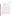Test/QA Plan for the Verification of Ambient Fine Particle Monitors Page 4 of 62 Version: 1.1 June 14, 2000

- To determine the influence of ambient precursor gases on the instrumental response of the monitors being verified,
- To investigate the capabilities of these technologies to monitor short term changes in ambient particulate matter, through comparisons to reference method samples collected over various sampling durations,
- To evaluate the reliability and general ease-of-use of these technologies over the course of the testing period.

To address these objectives, verification of these monitors will involve field testing in two separate phases. The degree to which the results from these monitors agree with those of the reference methods, or can be used to predict the results of the reference methods, will be established based on statistical comparisons of the results from each phase. Similarly, statistical comparisons of the results from duplicate monitors will be used to assess the intra-method precision for these continuous methods. The two separate phases will be conducted in different geographic locations, and during different seasons to assess the effects of temperature, humidity, particulate matter concentration, and chemical composition on the performance of the monitors being verified. In addition, this verification test will report on other operational characteristics including the reliability, necessary maintenance, and ease of operation of these monitors. Verification results from this test will also summarize additional information which may be relevant to potential users, including power and shelter requirements, data output, and the overall cost of these monitors.

The results from these performance evaluations will be made publically available with the goal of providing credible information to potential purchasers, regulators, and permitters of these technologies. **Note**: Verification of these technologies under ETV is a quantitative evaluation of the performance of the monitors based on the techniques and procedures described in this test/QA plan. This test is not meant to be, and should not be construed as, an alternate for any form of the Federal Reference or Equivalency designation which is required for  $PM_{2.5}$  or  $PM_{10}$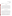compliance reporting purposes. Verification does not imply acceptance, certification, or endorsement, by EPA.

#### **1.3. Test Applicability**

This test/QA plan is applicable to the verification testing of ambient fine particulate matter monitors. The devices to be tested under this plan are capable of providing real-time, or nearly real-time, indications of the ambient level of fine particulate matter,<sup>b</sup> and do not require discrete manual steps for sample collection, preparation, and laboratory analysis. Although not necessarily designed to monitor the same physical quantity or property of ambient particulate matter, each of these devices can be useful for PM monitoring by providing rapid assessment of various properties of ambient fine particulate matter. In accordance with the intent of the ETV program, the monitors to be tested are commercially available, and not developmental products or prototypes.

# **2. TECHNOLOGY DESCRIPTION**

The monitors to be tested under this test/QA plan are all continuous particulate matter monitoring instruments, however their designs and principles of operation cover a wide range of analytical capabilities. Nonetheless, they each exhibit a rapid, quantitative response to ambient particulate matter, and therefore, may be useful in ambient PM monitoring research applications. Based on the principle of operation of these monitors, each can be grouped into categories for measuring either (1) chemical composition, or (2) mass or "surrogate mass." The technologies

<sup>&</sup>lt;sup>b</sup> For this test, fine particulate matter is defined as that fraction of particles with aerodynamic diameters below 2.5  $\mu$ m (PM<sub>25</sub>). This is a general definition and will be adopted for all monitors to be tested unless otherwise noted. Individual vendors may wish to adopt a different definition for their monitor, however, in all cases, the definition of fine particulate matter will be clearly indicated in each verification report resulting from this test.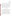Test/QA Plan for the Verification of Ambient Fine Particle Monitors Page 6 of 62 Version: 1.1 June 14, 2000

that fall within the former category provide nearly continuous indication of some aspect of the chemical composition of ambient particulate matter. The technologies within the latter category are used to monitor mass, or what may be called "surrogate mass," in that they measure a physical property that should correlate with the mass of fine particulate matter present. That is to say, particle mass itself is not necessarily measured by these techniques, but they may provide valuable indicators of particle mass. A brief summary of some of the monitors in these general measurement categories is provided below. This list is not meant to be exhaustive and is representative of the monitors which can be verified under this test/QA plan. Descriptions of additional monitors may be added as needed and these monitors may also be verified under this test/QA plan. More complete descriptions of these technologies can be found in the EPA "Guidance for Using Continuous Monitors in  $PM_{2.5}$  Monitoring Networks.<sup>7</sup>

#### **2.1. Chemical Composition**

Chemical composition monitors perform automated and repetitive procedures to determine some portion of the chemical composition of fine particles in nearly real time. The classes of particulate compounds for which there are continuous analyzers include carbonaceous material, both elemental and organic, and ionic species such as nitrate and sulfate.

Analysis of carbon-containing particulate matter can be used to quantify both the elemental carbon (EC) and organic carbon (OC) ambient concentrations. The thermal volatilization or conversion to carbon dioxide  $(CO<sub>2</sub>)$ , of these two classes of carbon particulate occurs at very different temperatures. Consequently, by heating particulate samples and monitoring the  $CO<sub>2</sub>$  generated at different temperatures, the EC and OC concentrations can be determined. Some carbon analyzing technologies, such as the Series 5400 Automated Carbon Particulate Monitor (ACPM, Rupprecht & Patashnick, Co., Inc.) include two sample collectors which can be used alternately for collection and analysis steps, thereby allowing continuous monitoring.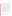Test/QA Plan for the Verification of Ambient Fine Particle Monitors Page 7 of 62 Version: 1.1 June 14, 2000

In addition to total EC and OC concentrations, specific chemical classes of organic particulate can be measured in-situ. One such class of compounds is particulate-bound polycyclic aromatic hydrocarbons (PAHs). Measurement of PAHs is based on UV photoionization of the particulate PAH and subsequent measurement of the ionization current formed by the emitted electrons. Monitors of this type respond to the sum of all PAH compounds in the particle phase, and do not respond to vapor-phase PAH. EcoChem Analytics provides a commercial version of the PAH monitor, in the form of the PAS 2000 instrument. This monitor has also been used to monitor overall EC levels.

The concentration of ambient "elemental carbon" or "black carbon" particulate can be measured by light absorption using an aethalometer (Andersen Instruments). In these devices, light is passed through a filter, or a sample spot on a continuous tape, and detected. Particulate deposition on this filter results in the attenuation of the light in proportion to the loading of light absorbing particulate on the filter. Using appropriate conversion factors, the degree of light attenuation is converted to "black carbon" concentration.

Automated monitors have been developed to measure particulate nitrate or sulfate concentrations. These monitors use flash volatilization of a filter sample, entrainment of the evolved oxides in an inert carrier stream, and chemiluminescent or gas-phase fluorescent detection to determine particulate nitrate or sulfate concentrations, respectively. Examples of these monitors are the Series 8400N Ambient Particulate Nitrate Monitor (APNM, Rupprecht & Patashnick, Co., Inc.), and the Series 8400S Ambient Particulate Sulfate Monitor (APSM, Rupprecht & Patashnick, Co., Inc.).

#### **2.2. Mass or Surrogate Mass**

There are a variety of particle properties which can be related to, and ultimately can be used to predict, particle mass. A number of techniques have been developed to probe these physical properties.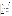Test/QA Plan for the Verification of Ambient Fine Particle Monitors Page 8 of 62 Version: 1.1 June 14, 2000

The Tapered Element Oscillating Microbalance (TEOM®, Rupprecht & Patashnick, Co., Inc.), directly measures particulate matter mass in real time by drawing air through a hollow tapered element on which an exchangeable filter is mounted. The tapered element is mechanically oscillated and as particulate matter deposits on the filter, the frequency at which the tapered element oscillates changes. This change in the frequency of oscillation has a direct relationship to the mass of the deposited particulate matter. By "continuously" monitoring (once every two seconds) the oscillation frequency, the TEOM is able to obtain near real-time measurements of the deposited mass. These measurements can then be used to calculate an average mass over time periods ranging from 10 minutes to 24 hours. Mass flow controllers are used to maintain a constant air mass flow rate which, when adjusted for ambient temperature and pressure, remains within the appropriate specifications for volumetric flow rate. From the data for both mass and flow, the TEOM calculates an ambient concentration for  $PM_{2.5}$ .

Beta Attenuation Monitors (BAMs) provide an indication of particulate matter mass by measuring the attenuation of beta radiation through a filter on which particulate matter is deposited. As the fine particles deposit, fewer of the beta particles penetrate the filter and reach the detector. By measuring the intensity of beta particle penetration before and after, or during a period of air sampling, a measure of the mass deposited on the filter can be obtained. The degree to which the beta radiation is attenuated is approximately proportional to particle mass based upon the Beer-Lambert law, but is also dependent upon the chemical composition of the particulate matter. Commercial versions of beta attenuation monitors are available from Andersen Instruments, Met One Instruments, and Opsis AB.

The Continuous Ambient Mass Monitor (CAMM, Andersen Instruments) measures the drop in pressure across a porous membrane filter to monitor particle mass. As air is drawn through the filter, particulate matter is deposited on the filter and obstructs the air flow through the filter. This flow obstruction results in an increasing pressure differential across the filter which can be measured and correlated to the mass of the deposited material.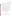US EPA ARCHIVE DOCUMENT

Test/QA Plan for the Verification of Ambient Fine Particle Monitors Page 9 of 62 Version: 1.1 June 14, 2000

Several techniques involve the use of light scattering to quantify the concentration and size of ambient particulate matter. Among the more common of the instruments exploiting light scattering for particulate matter monitoring are nephelometers. In these devices, a fixed volume of aerosol sample is illuminated by an incident beam of light, and the total intensity over a range of scattering directions is detected. The scattering intensity can be used to estimate particle mass concentration.

Some continuous particle sizing instruments can also be used to provide an indication of particulate mass. Light scattering monitors such as the Aerodynamic Particle Sizer (APS, TSI Inc.) provide real time size distributions which can be related to mass concentrations. In the APS, sampled air is drawn into a flight tube where the transit time of particles through overlapping light beams is measured. Size classification is based on the relationship between this transit time and the aerodynamic size of the particles being interrogated.

The Electrical Low Pressure Impactor (ELPI, Dekati, Ltd.) operates on the basis of charging, inertial classification, and electrical detection of aerosol particles. Sampled air is drawn through a corona discharge which imparts an electrical charge to the particles. The particles are then separated based on their aerodynamic size in an inertial impactor. The individual stages of the impactor are electrically isolated from one another and individually monitored by an electrometer which monitors the charge collected on each stage. Real-time size distributions are determined from the current produced on each stage.

## **3. VERIFICATION APPROACH**

#### **3.1. Scope of Testing**

The overall objective of the verification test is to provide quantitative performance data on fine particle monitors under realistic operational conditions. To meet this objective, testing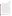Test/QA Plan for the Verification of Ambient Fine Particle Monitors Page 10 of 62 Version: 1.1 June 14, 2000

will occur in two phases, at established sites with ongoing particulate matter monitoring programs conducted with appropriate quality assurance/quality control (QA/QC) efforts. The field sites will be located in two geographically distinct regions of the United States to allow exposure to different particulate matter concentration levels and chemical composition. At each site, the technologies will undergo intensive testing for a period of at least one month focusing on the season in which local  $PM_{2.5}$  levels are likely to be highest.

Performance verification will be based, in part, on comparisons to the established reference methods<sup>c</sup> already in place as part of the monitoring programs at the field sites, or provided by Battelle specifically for this test. Collocation of the technologies being verified with systems for time-integrated monitoring of fine particulate mass and chemical speciation will provide the basis for assessing the degree of agreement and/or correlation between the continuous and time-integrated methods. Other parameters to be assessed during the verification test include the effects of meteorological conditions and the influence of interfering gases on technology performance. Consequently, each test site will be equipped with continuous monitors to record meteorological conditions and the concentration of key precursor gases  $(O_3, NO_x, SO_2,$ etc.). Additionally, other performance characteristics of the technologies being verified, such as reliability, maintenance requirements, and ease of operation will be assessed by field operators and reported. Instrumental features which may be of interest to potential users (e.g., power and shelter requirements, data output, and overall cost) will also be reported.

Although aerosols of known composition and size distribution can be created in a laboratory, such aerosols are limited in their representativeness of actual ambient fine particulate matter. It is beyond the scope of this verification test to generate aerosols in the laboratory which are representative of the wide range of aerosol composition typically found in ambient air. This

<sup>&</sup>lt;sup>c</sup> Throughout this document the term "reference method" will refer to methods which are used as a basis of comparison for the purposes of technology verification. These reference methods may be, but are not necessarily, Federal Reference Methods (FRM), or Federal Equivalent Methods (FEM)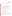Test/QA Plan for the Verification of Ambient Fine Particle Monitors Page 11 of 62 Version: 1.1 June 14, 2000

verification test will be limited to comparisons of data collected in the field under realistic operating conditions. Consequently no laboratory evaluations will be performed as part of this test.

#### **3.2. Site Selection**

The first phase of this verification test will be performed at the DOE/National Energy Technology Laboratory (NETL) site near Pittsburgh, PA. This phase will be conducted for a one month period late in the summer of 2000. The second phase of the test will take place at the California Air Resources Board (CARB) First Street site in Fresno, CA. This second phase of the test will be conducted over a period of one month in the winter of 2000/2001. General descriptions of each site are provided below.

These sites were selected based on a number of criteria including some common characteristics between the sites as well as some key differences. Common to these sites are:

- a wide variety of on-going ambient monitoring activities, including appropriate reference methods,
- sufficient space and facilities for verification testing of participating technologies,
- trained site personnel or subcontractors,
- appropriate site security, and
- established QA/QC protocols and procedures.<sup>8, 9, 10</sup>

The key difference between these sites is the location of these sites in distinctly different regions of the country, which results in exposure to different climates and meteorological conditions, as well as different levels and chemical composition of particulate matter. These factors, along with the willingness of the site management to collaborate with this verification test, were among the primary considerations for the selection of these sites.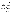US EPA ARCHIVE DOCUMENT

Test/QA Plan for the Verification of Ambient Fine Particle Monitors Page 12 of 62 Version: 1.1 June 14, 2000

It is recognized that verification of these monitors at only two sites for one season each represents only a small portion of the potential conditions under which these monitors are likely to be used. As such, the verification reports which result from this test will clearly indicate the conditions of the verification test and will not make generalizations about the performance of these monitors under different conditions. It is beyond the scope of this verification test to evaluate the performance of these monitors under all conditions in which these monitors are likely to be used. Instead, these two test sites will provide a demonstration of instrumental performance under a set (albeit limited) of realistic operational conditions.

#### **3.2.1 Phase I**

Phase I of testing will be conducted at the DOE/NETL research site located in South Park, PA, approximately eight miles south of Pittsburgh. This site is operated by NETL as part of the Department of Energy - Office of Fossil Energy's Ambient Fine Particulate ( $PM_{2,5}$ ) Research Program, $<sup>11</sup>$  which has three primary objectives:</sup>

- Monitor and analyze ambient fine particulate matter
- Characterize the emissions from fossil fuel based power systems
- Develop and evaluate effective control technologies.

The largest component of this research effort is the Upper Ohio River Valley Project (UORVP). The UORVP is focused on ambient monitoring along the upper Ohio River corridor in eastern Ohio, northwestern West Virginia, and western Pennsylvania, including the South Park site. This region is characterized by a relatively high concentration of both urban and industrial activities. Approximately 2 million residents live within the metropolitan Pittsburgh area, and heavy industries such as steel and coke making are important components of the local economy. Additionally, the UORVP region has a relatively high number of coal-fired power plants.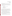Consequently, this area is an excellent candidate for ambient air quality studies owing to the wide variety of potential emission sources.

Within the UORVP there are a number of ambient fine particulate monitoring sites, of which the South Park site is one. Monitoring objectives at this site include a general assessment of the relative contributions to ambient air quality from both anthropogenic and biogenic sources, as well as specific goals in the areas of:

- Emission trend analysis
- Equipment development and performance evaluation
- Source apportionment
- Management strategy development
- Health study correlations.

To address the monitoring and analysis efforts of the UORVP program, the DOE/NETL site at South Park is equipped with a variety of PM samplers, including FRM and speciation, as well as continuous particulate monitors, for the collection and characterization of ambient  $PM_{2.5}$ . To support these measurements, a variety of continuous meteorological and gas monitors are on-site to characterize the ambient conditions during sample collection. A partial list of the ambient air parameters to be monitored at this site is provided in Table 1.

The verification test objectives will be addressed at this site primarily through comparisons of the technologies being verified to samples collected daily by the various reference methods. The sampling duration for the FRMs, speciation sampler, and PAH sampler will each be 24 hours. The collected samples will be analyzed and used as the basis for comparison for mass measurements, chemical speciation, and particulate PAH concentration, respectively, as measured by the continuous monitors.

Testing at the DOE/NETL site will be conducted in the summer, when data show that the composition of fine particulate matter will be dominated by secondary aerosol components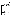(sulfate, nitrate, and ammonium), with a significant amount of both organic and elemental carbon content as well.

| <b>Monitored Parameter</b>                                                                       | <b>Monitoring Equipment</b>                                             | <b>Avg Time</b> | <b>Frequency</b> |  |  |
|--------------------------------------------------------------------------------------------------|-------------------------------------------------------------------------|-----------------|------------------|--|--|
| <b>Filter-Based Mass and Chemical Composition</b>                                                |                                                                         |                 |                  |  |  |
| $\mathbb{P}\mathrm{M}_{2.5}$ mass                                                                | R&P 2025 sequential FRM sampler                                         | $24-hr$         | daily            |  |  |
| $\mathbb{P}\mathbf{M}_{10}$ mass                                                                 | Andersen high volume sampler                                            | $24-hr$         | daily            |  |  |
|                                                                                                  | $PM_{2.5}$ mass, elements, ions, Andersen RAAS2.5-400 PM <sub>2.5</sub> |                 |                  |  |  |
| carbon                                                                                           | speciation sampler                                                      | $24-hr$         | daily            |  |  |
| <b>Continuous Monitors</b>                                                                       |                                                                         |                 |                  |  |  |
|                                                                                                  | R&P 1400a TEOMTM PM <sub>2.5</sub>                                      |                 |                  |  |  |
| $\mathbb{P}\mathrm{M}_{2,5}$ mass                                                                | sampler equipped with an                                                | 1-hour          | daily            |  |  |
|                                                                                                  | AccuSampler                                                             |                 |                  |  |  |
| Polycyclic aromatic                                                                              | EcoChem PAS 2000 continuous                                             |                 |                  |  |  |
| hydrocarbons                                                                                     | $10$ -min<br>PAH monitor                                                |                 | daily            |  |  |
| $\mathbb{P}\mathbf{M}_{2,5}$ organic and                                                         | R&P 5400 continuous carbon                                              |                 | daily            |  |  |
| elemental carbon                                                                                 | analyzer                                                                | 3-hour          |                  |  |  |
| <b>Precursor Gases</b>                                                                           |                                                                         |                 |                  |  |  |
| $\vert$ O <sub>3</sub> , SO <sub>2</sub> , NH <sub>3</sub> , NO <sub>y</sub> , NO <sub>x</sub> , |                                                                         |                 |                  |  |  |
| CO, H, S                                                                                         | API continuous gas monitors                                             | $5 - min$       | daily            |  |  |
| Meteorology                                                                                      |                                                                         |                 |                  |  |  |
| Wind speed/direction                                                                             | High accuracy sensor                                                    | 5-min           | daily            |  |  |
| Temperature                                                                                      | High accuracy sensor                                                    | $5 - min$       | daily            |  |  |
| Relative humidity                                                                                | High accuracy sensor                                                    | $5 - min$       | daily            |  |  |
| Solar Radiation                                                                                  | High accuracy sensor                                                    | 5-min           | daily            |  |  |
| Barometric pressure                                                                              | High accuracy sensor                                                    | 5-min           | daily            |  |  |
| Rain fall                                                                                        | High accuracy sensor                                                    | $5 - min$       | daily            |  |  |

# **Table 1. Parameters Being Monitored by DOE/NETL at Pittsburgh Site**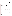#### **3.2.2 Phase II**

The second phase of the verification test will be conducted in Fresno, California. The Fresno site, which is operated by the California Air Resources Board (CARB),<sup>10</sup> is part of both the California Regional  $PM_{10}/PM_{25}$  Air Quality Study (CRPAQS), and the National Air Monitoring Stations (NAMS) network. Additionally, under the direction of the Desert Research Institute (DRI), it is one of the host sites for the EPA Supersites program.<sup>12</sup>

The different programs which are being operated at the Fresno site are each designed around a unique set of program objectives. For example, NAMS sites are focused on long-term monitoring to assess trends in air quality and community exposure as well as determining compliance with air quality standards. The monitoring efforts in place throughout the NAMS network will be useful in assessing national trends and in supporting decisions based on those trends. The CRPAQS program is designed with a number of specific objectives described in the study program plan.<sup>9</sup> These objectives focus on collecting air quality data in central California which can be used, in part, to characterize the nature and the causes of particulate matter to determine the spatial distribution and temporal variation of PM, and to quantify source contributions in the region. Additional objectives relating to determining specific population exposures, characterizing zones of influence, and understanding transport and diffusion phenomena are also addressed in the program plan. The EPA Supersites program is designed to establish  $PM_2$ , monitoring sites to: (1) characterize PM in terms of regional concentrations, chemical composition, and transport phenomena in order to understand source-receptor relationships; (2) obtain air quality data to support health effects and human exposure research; and (3) provide sites which can be used for methods development and advanced monitoring efforts. Owing to the diverse set of objectives encompassed in these programs, the Fresno site houses a wide variety of equipment for routine air quality monitoring, as well as for research purposes, and is an ideal candidate site for verification testing. A list of the ambient air parameters to be monitored at this site, and the planned sampling schedules in the programs listed above, are provided in Table 2.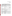| <b>Monitored Parameter</b>                                       | <b>Monitoring Equipment</b>                                                | <b>Avg Time</b> | <b>Frequency</b>                                                      |
|------------------------------------------------------------------|----------------------------------------------------------------------------|-----------------|-----------------------------------------------------------------------|
| <b>Filter-Based Mass and Chemical Composition</b>                |                                                                            |                 |                                                                       |
| TSP Mass                                                         | Hivol w/ quartz filter                                                     | $24-hr$         | 12th day                                                              |
| $PM_{10}$ mass, sulfate, nitrate,<br>chloride, ammonium, carbon  | Hivol SSI w/ quartz filter                                                 | $24-hr$         | 6th day                                                               |
| $PM_{10}$ and $PM_{2.5}$ mass,<br>elements                       | Collocated dichotomous<br>sampler with Teflon filter                       | $24-hr$         | 6th day                                                               |
| $PM_{2.5}$ mass                                                  | Collocated sequential FRM w/<br>Teflon filter)                             | $24-hr$         | daily for primary<br>sampler and 3rd<br>day for collocated<br>sampler |
| Toxic (metals, chromium VI,<br>aldehydes)                        | Xontec 920 Sampler                                                         | $24-hr$         | 12th day                                                              |
| $PM_{2.5}$ mass, light absorption,<br>elements, and ions         | Sequential FRM w/Teflon<br>filters                                         | $24-hr$         | 6th day                                                               |
| $PM_{2.5}$ mass, elements, ions,<br>carbon, nitric acid, ammonia | Five channel speciation sampler<br>w/ denuders and backup filters)         | $24-hr$         | 6th day                                                               |
| $PM_{10}$ single particles,<br>elements                          | MiniVol w/ Nuclepore filter for<br>microscopic analysis                    | $24-hr$         | 6th day                                                               |
| $PM_{2.5}$ mass, elements, ions,<br>karbon                       | Two channel sequential filter<br>sampler w/ denuders and<br>backup filters | $24-hr$         | daily                                                                 |
| <b>Continuous Surrogate Mass</b>                                 |                                                                            |                 |                                                                       |
| <b>Light scattering</b>                                          | Heated nephelometer                                                        | $5 - min$       | daily                                                                 |
| Light scattering                                                 | Ambient temperature<br>nephelometer                                        | $5 - min$       | daily                                                                 |
| Light scattering                                                 | Photometer                                                                 | 5-min           | daily                                                                 |
| Light scattering                                                 | Heated nephelometer                                                        | $5 - min$       | daily                                                                 |

# **Table 2. Parameters Being Monitored by CARB/DRI at Fresno Supersite**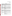Test/QA Plan for the Verification of Ambient Fine Particle Monitors Page 17 of 62 Version: 1.1 June 14, 2000

| <b>Monitored Parameter</b>                                   | <b>Monitoring Equipment</b>                                                                           | <b>Avg Time</b> | <b>Frequency</b> |  |  |  |
|--------------------------------------------------------------|-------------------------------------------------------------------------------------------------------|-----------------|------------------|--|--|--|
| <b>Continuous Surrogate Mass</b>                             |                                                                                                       |                 |                  |  |  |  |
| $0.003 - 0.2 \,\mu m$ size<br>distribution                   | <b>Ultrafine Condensation Particle</b><br>Counter <sup>a</sup>                                        | $5 - min$       | daily            |  |  |  |
| $\vert 0.3\text{-}30\,\mu\mathrm{m}$ size distribution       | <b>Optical Particle Counter</b>                                                                       | $5 - min$       | daily            |  |  |  |
| Light absorption                                             | Coefficient of Haze                                                                                   | $2-hr$          | daily            |  |  |  |
| Light absorption                                             | Aethalometer                                                                                          | 5-min           | daily            |  |  |  |
| Light absorption                                             | 7-wavelength aethalometer                                                                             | $30$ -min       | daily            |  |  |  |
| $\mathbb{P}\mathrm{M}_{2.5}$ mass                            | <b>BAM</b>                                                                                            | $1-hr$          | daily            |  |  |  |
| $PM_{10}$ mass                                               | <b>BAM</b>                                                                                            | $1-hr$          | daily            |  |  |  |
| <b>Continuous Particle Mass and Chemistry</b>                |                                                                                                       |                 |                  |  |  |  |
| $PM_{2.5}$ mass                                              | TEOM <sup>TM</sup> monitor                                                                            | $1-hr$          | daily            |  |  |  |
| $PM_{10}$ mass                                               | TEOM <sup>TM</sup> monitor                                                                            | $1-hr$          | daily            |  |  |  |
| $\mathbb{P}M_{2.5}$ nitrate, sulfate, and<br>karbon          | ADI flash volatilization with<br>TEI $NO_x$ , $SO_2$ , and NDIR<br>detectors                          | $10$ -min       | daily            |  |  |  |
| $\mathbf{P}\mathbf{M}_{2.5}$ organic and elemental<br>karbon | In-situ analyzer                                                                                      | 1-hour          | daily            |  |  |  |
| <b>Precursor Gases</b>                                       |                                                                                                       |                 |                  |  |  |  |
| NO/NO <sub>x</sub>                                           | Continuous chemiluminescence<br>monitor                                                               | $1-hr$          | daily            |  |  |  |
| Ozone                                                        | UV absorption monitor                                                                                 | $1-hr$          | daily            |  |  |  |
| Carbon Monoxide                                              | Infrared absorption monitor                                                                           | $1-hr$          | daily            |  |  |  |
| Non-Methane Hydrocarbons                                     | <b>FID</b>                                                                                            | $1-hr$          | daily            |  |  |  |
| NO <sub>v</sub> /HNO <sub>3</sub>                            | High sensitivity<br>chemiluminescent monitor with<br>external converters, denuders,<br>and sequencers | $5 - min$       | daily            |  |  |  |
| Ammonia                                                      | High sensitivity monitor with<br>$NOx$ scrubbers and oxidizers                                        | $5 - min$       | daily            |  |  |  |

# **Table 2 (continued)**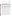Test/QA Plan for the Verification of Ambient Fine Particle Monitors Page 18 of 62 Version: 1.1 June 14, 2000

| <b>Monitored Parameter</b>         | <b>Monitoring Equipment</b>                  | <b>Avg Time</b>                | <b>Frequency</b>    |  |  |
|------------------------------------|----------------------------------------------|--------------------------------|---------------------|--|--|
| <b>Organic Gases and Particles</b> |                                              |                                |                     |  |  |
| Toxic hydrocarbons                 | Xontec 910 canister sampler                  | $24-hr$                        | 12th day            |  |  |
| $\mathbb C$ arbonyls               | Xontec 925 DNPH sampler                      | $24-hr$<br>summer<br>4 per day | 12th day<br>3rd day |  |  |
| <b>Meteorology</b>                 |                                              |                                |                     |  |  |
| Temperature                        | High accuracy sensor                         | $5 - min$                      | daily               |  |  |
| Wind speed/direction               | High sensitivity wind vane and<br>anemometer | $5$ -min                       | daily               |  |  |
| Relative humidity                  | High accuracy sensor                         | $5 - min$                      | daily               |  |  |
| Solar radiation                    | Radiometer                                   | $5 - min$                      | daily               |  |  |

#### **Table 2 (continued)**

a May be integrated with scanning mobility particle sizer  $(0.005 \text{ to } 1.0 \mu \text{m})$ .

Located in central California, Fresno is included in the San Joaquin Valley Unified Air Pollution Control District (SJVUAPCD) and is impacted by a wide variety of both primary and secondary air quality influences. The region is relatively densely populated, with approximately 3 million people living within the  $64,000 \text{ km}^2$  which comprise the SJVUAPCD. The primary industry in the region is agriculture, however, other local industries include oil and gas production, refining, waste incineration, transportation, and light manufacturing.

PM<sub>2.5</sub> concentrations during winter. Carbon-containing PM (both organic and elemental) levels The Fresno site is expected to experience high concentrations of ambient ammonium, nitrate, geological, and carbonaceous material during the winter.<sup>9</sup> During winter, the high local concentration of gaseous ammonia combined with the low temperatures and high humidity conditions in central California favor the equilibrium formation of particulate ammonium nitrate from the available nitrate. Though less than in other seasons, geological material from agricultural activities, construction, road dust, and wind erosion contributes significantly to the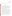are also high in the winter as a result of various activities including fuel combustion, vehicle exhaust, meat cooking, and agricultural burning. **3.3. Experimental Design** 

The design of this verification test is similar to that of a recent instrument intercomparison study performed for CARB.<sup>13</sup> In that study, a variety of continuous and manual methods were intercompared to assess operational relationships among the different methods. This verification test will be similar to that study in that similar comparisons will be made between the continuous and manual methods. This verification test will be different in that it will expand on some of the comparisons, and will be performed at two different sites and in different seasons. However, in contrast to the CARB study, no intercomparison of the monitors being verified will be made in this verification test.

This verification test will involve collocation of duplicate commercial monitors to be verified at the test sites, which have established reference methods already in place, including both FRM and speciation samplers. The duplicate monitors will be placed in close proximity to each other (< 5 meters) and to reference samplers (<10 meters) to eliminate spatial variability as a source of error in statistical comparisons. Comparisons between the continuous monitors and the reference methods will be made to assess the comparability of the monitors being tested and the reference methods, or the capabilities of the continuous monitors in predicting the results from the reference methods. Comparisons of the results from duplicate monitors will be used to assess intra-method precision for each type of monitor. Continuous measurement of meteorological conditions and the concentration of precursor gases will be used to support these assessments. In this way, the accuracy and variability of the continuous monitors may be assessed under various conditions after adjusting for the influence of those conditions. Additional observations will be made by On-Site Operators and documented to describe general

Test/QA Plan for the Verification of Ambient Fine Particle Monitors Page 19 of 62 Version: 1.1 June 14, 2000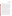operational characteristics of these monitors, including general performance, reliability, maintenance, and ease of use.

The primary comparison for each monitor will be with the 24-hour time-integrated samples collected by the respective reference methods (see Section 3.4). As a result, the primary comparison will include approximately 25 samples from each month-long phase. In likelihood, the actual number of data points available for use in these comparisons will be somewhat smaller than 25. In addition to the 24-hour samples used for the primary comparisons, a number of shorter term samples (3, 5, 8-hour) will be collected and used for supplemental comparisons. The data sets available for the supplemental comparisons may be larger based on the frequency of data collection (up to 5 samples per day). Continuous meteorological and precursor gas concentration data will also be used to support the primary comparisons. The variability in ambient air parameter levels over the course of the month of data collection is expected to be much larger than the size of error in measurement, allowing for accurate estimation of the relationship between the reference methods and the monitors tested.

 In some cases, monitors to be verified in this test are already in use at one or both of the sites. As such, the vendor of a monitor already on site will provide a single additional monitor for verification. The test for that type of monitor will thus include a monitor that has been operating in the field, and one newly installed in the field. In these cases, the history of these monitors may provide useful information about performance issues, and records of performance (including monitoring results and maintenance activities) at the site may be used to support the observations made during the intensive portion of the verification test. When available, monitoring results from these continuous monitors and the reference methods may provide an indication of performance of these monitors during multiple seasons at a given site, and maintenance records may provide an indication of the long-term reliability of these monitors.

When possible, the same monitors will be verified in the two phases of this test. However, when a monitor being tested is part of the site monitoring equipment, a different monitor will necessarily be tested at the other site. The additional monitor provided by the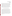Test/QA Plan for the Verification of Ambient Fine Particle Monitors Page 21 of 62 Version: 1.1 June 14, 2000

vendor will be used at both sites. In all cases, the verification report will clearly indicate which monitors (by serial number) were tested at the respective sites. Furthermore, as a result of the time difference between the two phases of the verification test, there is a potential that design modifications may be made to one or more of the monitors being tested. If changes of this type are made, the updated version may be used in the second phase. Again, the verification report will clearly indicate what design changes were made. As the statistical analyses will be performed separately for the individual monitors at each site, the potential use of different monitors at different sites will not affect the validity of statistical comparisons made in the verification process. Records indicating which monitors were verified in each phase may be used to explain potential differences in verification results between monitors at a site.

#### **3.4. Reference Methods and Supplemental Measurements**

Verification of the performance of continuous ambient fine particle monitors will be based in part on comparisons to appropriate reference methods or procedures. Since no appropriate absolute standards for fine particulate matter exist, the reference methods for this test were selected to provide comparisons of the results from the continuous monitors to those of currently accepted methods for the determination of particulate matter mass or chemical concentration. It is recognized that comparisons of real-time measurements to time-averaged measurements may not fully explore the capabilities of the real-time monitors. However, in the absence of accepted standards for real-time fine particulate matter measurements, the use of timeaveraged standard methods which are currently widely accepted is necessary. The limitations associated with the use of these methods (including measurement uncertainties) will be discussed in the verification reports. A summary of each reference method to be used during the verification test is given below.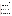Test/QA Plan for the Verification of Ambient Fine Particle Monitors Page 22 of 62 Version: 1.1 June 14, 2000

#### **3.4.1 PM**<sub>2.5</sub> Mass

Comparisons to  $PM_{2.5}$  mass will be made relative to the FRM for  $PM_{2.5}$  mass determination, i.e., the 24 hour time-averaged procedure detailed in 40 CFR Part  $50<sup>2</sup>$ . This method involves manual sampling using any of a number of designated commercially available filter samplers, followed by gravimetric analysis of the collected sample. In this method a size selective inlet is used to sample only that fraction of aerosol of interest (i.e., <2.5 µm diameter). The air sample is drawn into the sampler at a fixed rate and the aerosol is collected on an appropriate filter for gravimetric analysis. After equilibration of the sample and filter in a temperature and humidity controlled environment, the sample is weighed on an appropriate microbalance. The particulate sample weight is determined by subtracting the weight of the filter alone, determined prior to sampling after similar equilibration. Protocols for sample collection, handling, and analysis are described by EPA and will be followed for this verification test.

 FRM samples will be collected daily during each phase of the testing using a BGI PQ200 Sampler (RFPS-0498-116), or comparable sampler, and  $PM_{2.5}$  will be determined according to the FRM procedures mentioned above. Results from other single filter or sequential FRM samplers may be used after the comparability of these other samplers and the BGI sampler is established (see Section 3.5.2 and Section 7.3). Time periods shorter than the FRM-prescribed 24-hour sampling will also be used in some cases to assess the short-term capabilities of the continuous monitoring technologies. This short-term  $PM_{2.5}$  sampling will augment, rather than replace, the 24-hour FRM sampling.

#### **3.4.2 Speciation**

The reference methods to be used for chemical speciation of ambient  $PM_{2.5}$  are described in the EPA guidance document "Guideline on Speciated Particulate Monitoring", 14 with the exception of the method for particle-bound PAH analysis. As with the gravimetric mass determination, these reference methods involve time-integrated sample collection and subsequent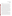laboratory analysis, although the collection media and the methods of analysis vary for the different species.

In general, the speciation samplers have individual trains for the determination of specific components of the ambient aerosol. The aerosol is drawn into the sampler through a size selective inlet, and divided into separate streams for collection and subsequent chemical-specific analysis. Alternatively, separate size-selective inlets may be used for each stream. After sampling, the collected fractions are sent for preparation and laboratory analysis. At each field site, one or more approved speciation samplers will be employed as part of the studies performed at those sites. Collected samples from those speciation samplers will be analyzed by contract laboratories selected by Battelle, and the results of those analyses will be used for the data comparisons. Particulate nitrate, particulate sulfate, and elemental/organic carbon are the chemical species for which samples from the speciation samplers will be analyzed. At each site, particulate nitrate and particulate sulfate fractions will be collected on nylon filters downstream from a MgO denuder used to remove gaseous nitric acid. These fractions will subsequently be analyzed by ion chromatography as suggested in the EPA's "Guideline on Speciated Particulate Monitoring".<sup>14</sup> EC/OC fractions will be collected on quartz fiber filters and analyzed by both the IMPROVE thermal optical reflectance (TOR) and the NIOSH 5040 thermal optical transmission (TOT) techniques. At the Fresno site, 24-hour chemical speciation sampling will be augmented with 3, 5, and 8-hour sampling, to allow data comparisons over shorter time periods. At the DOE/NETL site, only 24-hour chemical sampling will be conducted.

For particle-bound PAH measurements, sample collection and analysis procedures based on ASTM Method D-6209-98<sup>16</sup> will be used. Battelle will supply filter/XAD resin sampling trains and appropriate denuders to determine the particle-phase PAH species. After removal of the vapor phase material in the denuder, the total particle-phase PAH will be collected on a quartz fiber filter followed by an XAD-2 resin bed. Particulate matter collected on the combined filter/XAD trains will be analyzed for PAH content by solvent extraction and subsequent gas chromatography/mass spectrometry (GC/MS) procedures. Particulate matter samples for PAH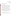determination will be collected daily over 24-hour periods at each test site, and used to verify the performance of the commercial particulate PAH monitor.

#### **3.4.3 Supplemental Measurements**

Various supplemental measurements will be recorded and used to further establish the performance of the continuous monitors being tested. Meteorological conditions will be monitored and recorded continuously throughout each phase of the verification test. These measurements will include at least temperature, relative humidity, wind speed, and direction. Likewise, the ambient concentrations of various precursor gases including ozone and NOx will also be measured continuously during the verification test, and will be used to assess the influence of these parameters on the performance of the monitors being tested.

To supplement the 24-hour samples, additional samples will be collected at the Fresno site over shorter sampling periods (i.e., 3, 5, 8-hour) to help assess the capabilities of the monitors being tested, in indicating short term PM levels. These short-term samples will be collected and analyzed for  $PM_{2.5}$  mass, nitrate, sulfate, and carbon fractions. Before use in evaluating the performance of the continuous monitors, these short term sampling measurements will be compared with the corresponding 24-hour results of the reference methods. These comparisons will be used to establish the relationship between the two sets of measurements.

#### **3.5. Data Comparisons**

#### **3.5.1 Quantitative Comparisons**

Table 3 provides a summary of the primary and supplemental comparisons to be made in evaluating technology performance. These comparisons are intended to evaluate the continuous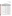Test/QA Plan for the Verification of Ambient Fine Particle Monitors Page 25 of 62 Version: 1.1 June 14, 2000

# **Table 3. Summary of Data Comparisons to be Made in Verification of Continuous Monitors**

| <b>Technology</b><br>to be<br><b>Verified</b> | <b>Parameter</b><br><b>Measured by</b><br><b>Technology to</b><br>be Verified | <b>Primary Data to</b><br>be Used for<br><b>Comparison</b> | <b>Supplemental</b><br>Data to be Used for Comparisons                                                                      |
|-----------------------------------------------|-------------------------------------------------------------------------------|------------------------------------------------------------|-----------------------------------------------------------------------------------------------------------------------------|
| Aethalometer                                  | <b>Black Carbon</b>                                                           | Daily 24-hour<br>EC/OC samples                             | 3, 5, or 8 hour EC/OC samples; <sup>a</sup><br>continuous meteorological data                                               |
| <b>ACPM</b>                                   | EC/OC                                                                         | Daily 24-hour<br>EC/OC samples                             | 3, 5, or 8 hour EC/OC samples; <sup>a</sup><br>continuous meteorological data                                               |
| <b>APNM</b>                                   | NO <sub>3</sub>                                                               | Daily 24-hour $NO_3^-$<br>samples                          | 3, 5, or 8 hour $NO_3$ samples; <sup>a</sup><br>continuous $NO_x$ , $O_3$ measurements;<br>continuous meteorological data   |
| <b>APS</b>                                    | <b>Mass</b>                                                                   | Daily 24-hour FRM<br>samples                               | 3, 5, or 8 hour $PM_{2.5}$ mass samples; <sup>a</sup><br>continuous meteorological data                                     |
| <b>BAM</b>                                    | <b>Mass</b>                                                                   | Daily 24-hour FRM<br>samples                               | 3, 5, or 8 hour $PM_{2.5}$ mass samples; <sup>a</sup><br>continuous meteorological data                                     |
| <b>CAMM</b>                                   | <b>Mass</b>                                                                   | Daily 24-hour FRM<br>samples                               | 3, 5, or 8 hour $PM_{2.5}$ mass samples; <sup>a</sup><br>continuous meteorological data                                     |
| <b>ELPI</b>                                   | <b>Mass</b>                                                                   | Daily 24-hour FRM<br>samples                               | 3, 5, or 8 hour $PM_{2.5}$ mass samples; <sup>a</sup><br>continuous meteorological data                                     |
| Nephelometer                                  | Light scattering<br>intensity                                                 | Daily 24-hour FRM<br>samples                               | 3, 5, or 8 hour $PM_{2.5}$ mass samples; <sup>a</sup><br>continuous meteorological data                                     |
| <b>PAS</b>                                    | PAH and EC                                                                    | Daily 24-hour PAH<br>and EC samples                        | 3, 5, or 8 hour EC samples; <sup>a</sup><br>continuous meteorological data                                                  |
| Sulfate<br>Monitor                            | $SO_4^2$                                                                      | Daily 24-hour $SO_4^2$<br>samples                          | 3, 5, or 8 hour $SO_4^2$ samples; <sup>a</sup><br>continuous $SO_2$ , $O_3$ measurements;<br>continuous meteorological data |
| <b>TEOM</b>                                   | <b>Mass</b>                                                                   | Daily 24-hour FRM<br>samples                               | 3, 5, or 8 hour $PM_{2.5}$ mass samples; <sup>a</sup><br>continuous meteorological data                                     |

<sup>a</sup> Short-term samples collected at Fresno only.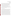Test/QA Plan for the Verification of Ambient Fine Particle Monitors Page 26 of 62 Version: 1.1 June 14, 2000

monitors being verified by comparison to the reference method which most closely matches the quantity measured by the technology. The primary comparisons will be made with the reference methods described above. Additional comparisons will be made with the supplemental measurements to assess (1) the effects of meteorological conditions and precursor gas concentrations on the response of the monitors being tested, and (2) the capabilities of these monitors to indicate short-term levels of ambient PM. The comparisons will be based on statistical calculations as described in Section 7.3 of this test/QA plan.

Comparisons will be made independently for the data from each site, and, with the exception of the intra-method precision calculations, the results from the duplicate monitors will be analyzed and reported separately. Intra-method precision will be determined from a statistical intercomparison of the results from the duplicate monitors.

#### **3.5.2 Qualitative Comparisons**

There is evidence that some continuous monitors may be considered comparable with the FRM. For example, a recent study commissioned by the California Air Resources Board to intercompare a variety of PM measuring equipment, has shown high a degree of comparability (slope = 0.91, intercept = 0.80  $\mu$ g/m<sup>3</sup>, R<sup>2</sup> = 0.989) between the PM<sub>2.5</sub> FRM and a Beta Attenuation Monitor with a Well-Impactor Ninety-Six  $PM_{2.5}$  inlet (BAM-WINS).<sup>13</sup> Therefore, in addition to the comparisons outlined in Table 3, additional comparisons may be made with other available methods if appropriate methods are in place at the test site and can be shown to be adequately comparable to the  $PM<sub>2.5</sub> FRM$ . Although less stringent than the criteria for FEM equivalence, the criteria used in this test for a continuous monitor to be considered adequately comparable with the FRM are based on those presented in the EPA guidance document for the use of continuous monitors.<sup>7</sup> These criteria require that the results of the continuous monitor be compared with the reference method and analyzed by linear regression. The results of that statistical analysis must have a slope within three standard deviations of unity, an intercept within three standard deviations of zero, and have a squared correlation coefficient of greater than 0.9,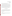for that monitor to be accepted as a comparable method. The degree to which each monitor being verified meets these comparability criteria will be assessed.

PM<sub>2.5</sub> mass (for example) may correlate with features in the PM mass or composition If a monitor being verified in this test meets these criteria, it may be used for comparison with other monitors being verified. If an additional method in use at either test site shows comparability with the FRM, it may be used as a secondary means of comparison for illustration of the temporal response of the monitors being tested. The use of these data will be limited to qualitative comparisons, and no quantitative conclusions about the performance of the monitors tested will be made. However, the temporal features which appear in real-time measurements of measurements of the other continuous monitors being verified. Comparisons of this type which can be used to show temporal features will illustrate the utility of the tested methods.

#### **3.6. Roles and Responsibilities**

The verification test will be performed by Battelle with the participation of EPA, the vendors who will be having their monitors verified, and the test sites. The organizational chart below shows the individuals from Battelle, the vendor companies, EPA, and the test sites who will have responsibilities in the verification test. The specific responsibilities of these individuals are detailed below.

#### **3.6.1 Battelle**

The Verification Test Coordinator will have the overall responsibility for ensuring that the technical, scheduling, and cost goals established for the verification test are met. The Verification Test Coordinator will: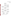

Version: 1.1

**Figure 1. Organizational Chart for Ambient Fine Particle**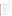Test/QA Plan for the Verification of Ambient Fine Particle Monitors Page 29 of 62 Version: 1.1 June 14, 2000

# **Monitor Verification Test**

- Prepare the draft test/ $QA$  plan, verification reports, and verification statements
- Revise the draft test/QA plan, verification reports, and verification statements in response to the reviewers' comments
- Coordinate testing parameters and test schedule with management and technical staff at each testing site
- Arrange for necessary Battelle materials to be available at the test sites when needed
- Ensure that all quality procedures specified in the test/OA plan and in the OMP are followed
- Respond to any issues raised in assessment reports and audits, including instituting corrective action as necessary
- Serve as the primary point of contact for vendor and site representatives
- Establish a budget for the verification test and monitor staff effort to ensure that the budget is not exceeded
- Ensure that confidentiality of vendor information is maintained.

 The Verification Testing Leader for the AMS pilot will provide technical guidance and oversee the various stages of verification testing, and will:

- Support the Verification Test Coordinator in preparing the test/QA plan and organizing the testing
- Review the draft test/OA plan
- Review the draft verification reports and statements
- Ensure that confidentiality of vendor information is maintained.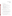Test/QA Plan for the Verification of Ambient Fine Particle Monitors Page 30 of 62 Version: 1.1 June 14, 2000

# Battelle's AMS Pilot Manager will:

- Review the draft test/QA plan
- Review the draft verification reports and statements
- Coordinate distribution of the final test/QA plan, verification reports and statements
- Ensure that necessary Battelle resources, including staff and facilities, are committed to the verification test
- Ensure that vendor confidentiality is maintained
- Support the Verification Test Coordinator in responding to any issues raised in assessment reports and audits
- Maintain communication with EPA's pilot and quality manager.

Battelle will provide test personnel who will assist as necessary during the verification test. The responsibilities of these test personnel include:

- Assist in the set-up and removal of the monitors and testing equipment as needed
- Train On-Site Operators in operating procedures of Battelle-supplied equipment
- Ensure that confidentiality of vendor information is maintained.

Battelle will provide a Staff Statistician who will support statistical and data analysis activities for this verification test. Specifically the Staff Statistician will:

Assist in the conversion of verification data from electronic spreadsheet format to appropriate file format for statistical evaluation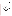Test/QA Plan for the Verification of Ambient Fine Particle Monitors Page 31 of 62 Version: 1.1 June 14, 2000

- Support the Verification Test Coordinator in performing statistical calculations specified in this test/QA plan on the verification data
- Provide results of statistical calculations and associated discussion for the verification reports as needed
- Support the Verification Test Coordinator in responding to any issues raised in assessment reports and audits related to statistics and data reduction.

Battelle's Quality Manager for this verification test will:

- Review the draft test/QA plan
- Conduct a technical systems audit once during each phase of the verification test
- Review results of performance evaluation audits specified in this test/QA plan
- Audit at least  $10\%$  of the verification data
- Prepare and distribute an assessment report for each audit
- Verify implementation of any necessary corrective action
- Issue a stop work order if self audits indicate that data quality is being compromised; notify Battelle AMS Pilot Manager if stop work order is issued
- Provide a summary of the QA/QC activities and results for the verification reports
- Review the draft verification reports and statements
- Have overall responsibility for ensuring that the test/OA plan is followed
- Ensure that Battelle management is informed if persistent quality problems are not corrected
- Interface with EPA's Pilot Quality Manager
- Have overall responsibility for ensuring that the QMP is followed.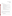Test/QA Plan for the Verification of Ambient Fine Particle Monitors Page 32 of 62 Version: 1.1 June 14, 2000

## **3.6.2 Vendors**

Vendor representatives will:

- Review the draft test/QA plan and provide comments and recommendations
- Approve the revised test/QA plan
- Provide Battelle with detailed description of installation requirements prior to testing to ensure adequate facilities are available
- Provide duplicate commercial ready monitors for testing for the duration of each phase of the verification test at each site
- Install the monitors to be verified at each site and ensure proper operation before testing (vendors will have access to the test site at least one week in advance of testing during each phase)
- Provide detailed checklist to On-Site Operators of items which should be checked to verify proper operation of monitors
- Provide on-site operator or on-site technical support as needed
- Review and comment upon their respective draft verification report and statement.

# **3.6.3 EPA**

EPA's responsibilities in the AMS pilot and this verification test are based on the requirements stated in the "Environmental Technology Verification Program Quality and Management Plan for the Pilot Period (1995-2000)" (QMP)<sup>15</sup>. The roles of the specific EPA staff are as follows:

EPA's Pilot Quality Manager will:

- Review the draft test/OA plan
- Perform, at her option, one external technical system audit during the verification test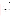Test/QA Plan for the Verification of Ambient Fine Particle Monitors Page 33 of 62 Version: 1.1 June 14, 2000

- Notify the Battelle Pilot Manager to facilitate a stop work order if external audit indicates that data quality is being compromised
- Prepare and distribute an assessment report summarizing results of external audit, if performed
- Review draft verification reports and statements.

# EPA's Pilot Manager will:

- Review the draft test/QA plan
- Approve the final test/QA plan
- Approve the final verification reports
- Review the draft verification statements.

# **3.6.4 Test Sites**

The verification testing will be conducted in two phases. The first phase will be conducted at the DOE/NETL site in Pittsburgh, PA. The second phase will be conducted at the CARB/EPA supersite in Fresno, CA. The responsibilities of the host sites are:

- Assist in developing a plan to conduct verification tests at the site in collaboration with ongoing measurements
- Allow facility access to vendor, Battelle, and EPA representatives during the scheduled verification testing including set-up and tear-down operations
- Provide adequate working space at the testing site for the duration of verification testing
- Provide sufficient power for the simultaneous operation of all test equipment and technologies being verified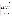Test/QA Plan for the Verification of Ambient Fine Particle Monitors Page 34 of 62 Version: 1.1 June 14, 2000

- Provide access to data from equipment collocated at test site, including available reference methods, continuous gas monitors, and meteorological monitors.
- Assist Battelle in arranging for augmented sampling schedules or additional sample analysis
- Cooperate with Battelle's documentation of the host site's QA/QC procedures
- Review portions of the verification report to assure accurate descriptions of the host site operations, and to provide technical insight on verification results
- Provide safety instructions to test and QA personnel for operations at the test site.

# **3.6.5 On-Site Operators**

Battelle will hire On-Site Operators to assist, as necessary, in activities associated with this test that are not already performed by the test sites. The responsibilities of these on-site operators are:

- Observe the operation of the monitors being test and complete checklists for each monitor, as well as make general observations about the performance and maintenance of the monitors being tested
- Perform sampling activities according to this test/QA plan, documented procedures, and as instructed by the Verification Test Coordinator
- Arrange for and ship samples to the respective Contract Analytical Laboratories
- As necessary, inform respective vendors and Battelle of problems associated with the monitors being tested
- Ensure that confidentiality of vendor information is maintained.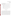Test/QA Plan for the Verification of Ambient Fine Particle Monitors Page 35 of 62 Version: 1.1 June 14, 2000

#### **3.6.6 Contract Analytical Laboratories**

This verification test relies on the results of various analytical measurements. Battelle will secure the services of Contract Analytical Laboratories to conduct these measurements. The responsibilities of these laboratories are:

- Conduct quality assured analytical measurements of collected samples
- Provide Battelle with results of analytical measurements in mutually agreed upon format
- Provide Battelle and EPA, as necessary, with appropriate QA records and documents, including standard operating procedures, calibration records, training records, etc.
- As necessary, allow an external technical systems audit of laboratory facility, personnel, and procedures by Battelle and/or EPA staff.

# **4. TEST PROCEDURES**

Field testing will be conducted in two separate phases. Phase I will be conducted at the DOE/NETL site for an approximately one month period of intensive sampling from Monday, July 31 to Friday, August 25, 2000. Phase II of the verification test is to be conducted at the EPA supersite in Fresno, between December 11, 2000 and January 12, 2001. At each site data from the monitors being tested, the meteorological monitors, and the precursor gas monitors will be collected continuously over the course of the verification test. Samples will be collected by the reference methods (i.e., FRM, speciation, and PAH samplers) according to the schedules in place at the sampling sites. In all cases, the monitoring and sampling equipment will be operated according to the recommendations provided in the respective operator's manual or standard operating procedures for the samplers, and within the procedures and protocols set forth in this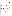Test/QA Plan for the Verification of Ambient Fine Particle Monitors Page 36 of 62 Version: 1.1 June 14, 2000

test/OA plan or the quality assurance plans<sup>8, 9, 10</sup> in place at the respective sites and the analytical laboratories.

In some cases, monitors being verified are already in operation at the field sites. In these cases, the vendors will be allowed to perform appropriate calibration and maintenance on their respective monitors before testing begins. For those that are not, the vendor will install and ensure the proper calibration and operation of the monitors to be verified at each site. Routine operation during the verification test will be observed by On-Site Operators after appropriate training by vendor staff. Instrumental status will be documented by the On-Site Operators by completing checklists provided by the respective vendors. In the case of instrument failure, the vendor will be notified by the on-site operators and allowed to perform on-site repair if necessary. Since testing at each site will be conducted over a limited time period, it is expected that the vendor will arrange for adequate time for installation and training at each site before testing begins. Testing will not be delayed if installation of the monitors is not complete, and will not be extended to make up for downtime if a monitor being verified fails during the test.

At each site, On-Site Operators will be asked to make observations about the operational performance, maintenance, ease of use and reliability of each technology, as well as provide additional insight concerning general technology performance, and sampling conditions on the respective checklists provided by the vendors. If existing records pertaining to the past performance of one or more of the monitors are available, they may be used in the respective verification report to support discussions of operational performance. Information concerning maintenance and daily operation of these monitors, including data output requirements, will be recorded by site operators and summarized in the verification reports.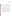### **4.1. Phase I - Pittsburgh**

Table 1 lists the equipment that is scheduled to be operated by DOE/NETL at the Pittsburgh site. The entries in this table are grouped according to the parameter to be measured, and include the monitoring equipment to be used, the averaging time, and the frequency of measurement for each of these instruments. Procedures for the operation of this monitoring equipment are provided in the respective instrument manuals or in the SOPs for the DOE/NETL study.

To augment the measurements made by NETL, Battelle will provide an FRM sampler, and a speciation sampler, with which to collect the reference samples. The speciation sampler provided will be equipped to collect samples for carbon, nitrate, sulfate, and PAH analyses. The procedures to be followed for the daily operation and routine maintenance of the Battellesupplied FRM and speciation sampler are described in the respective instrument manuals provided by the manufacturers. Procedures for the daily sampling for PAHs are provided below. On-Site Operators responsible for the operation of these samplers will be trained in the procedures for daily operation of this equipment before verification testing begins and will follow these procedures during testing. Gravimetric and chemical analysis of the samples will be performed by Contract Analytical Laboratories according to their respective SOPs. Preparation of the denuders and analysis of the PAH samples will be performed at Battelle according to the procedures described in Section 4.3.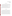### **4.2. Phase II - Fresno**

 A list of the equipment to be operated by CARB/DRI as part of the various studies performed at the Fresno Supersite is provided in Table 2. This table also identifies the parameter to be measured, the average time for measurement, as well as the frequency of measurement. Procedures for the operation of these monitoring and sampling technologies are provided in the respective operator's manuals, or in the site planning documents.<sup>9, 10</sup>

In addition to the instruments listed in Table 2, Battelle will provide a PAH sampler for particulate-bound PAH monitoring. Procedures for the denuder preparation, operation of the PAH sampler, and the analysis of the PAH samples are provided in Sections 4.3. On-Site Operators will be trained by Battelle in the procedures for the daily operation of the PAH sampler.

#### **4.3. PAH Sampler**

Particulate PAH data will be obtained for verification of the commercial PAH monitor by means of a denuder/filter/sorbent train that separates vapor- and particle-phase PAHs. The method to be used for PAH determination is based on ASTM Method D-6209-98.16 The principle of this method is that, as sample air is drawn through the train, vapor-phase PAHs diffuse rapidly to the walls of an annular denuder tube and are captured. Particles pass through the denuder in the sample air stream because of their much slower rate of diffusion, and are collected on a quartz fiber filter backed up by a sorbent trap. The sorbent trap serves to collect any PAH that volatilizes from the filter after particle collection. The particle-phase PAH concentration is determined by extracting and analyzing the filter/sorbent combination together. In addition, if needed the denuder can be extracted for determination of the vapor-phase PAHs.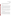The procedures for the daily operation of the PAH sampler are summarized below, including the origin, handling, shipping, and installation of the denuders, handling and installation of the sample filters, field sampling, and laboratory analysis.

#### **4.3.1 Denuders**

The denuders to be used are based on those developed by Gundel and co-workers,<sup>17</sup>and consist of a glass annular denuder with a sandblasted inner surface coated with finely ground XAD-4 resin. The resin particles collect vapor-phase PAH from the air stream, but are resistant to removal from the glass surface during air sampling, solvent extraction, and handling of the denuder. The primary purpose of the denuder is to provide an air stream free of vapor-phase PAH, so that particle-phase PAH may be collected without artifact from the vapor phase. However, the denuders can also be extracted with solvent for determination of the collected vapor-phase PAH.

The denuders used in this verification test will be commercial units supplied by URG and coated by Restek Corporation. The denuders to be used will be appropriate for use with the sampler being used to collect the PAH samples. Preliminary chamber and field studies will be performed to characterize the performance of these denuders before the verification test.

## **4.3.2 Other Sampling Components**

Cleaned quartz fiber filters and XAD-2 resin traps will be prepared by Battelle. Commercial quartz fiber filters will be cleaned by heating in a muffle furnace in high purity air, and will be stored wrapped in similarly muffled aluminum foil. XAD-2 resin is cleaned by Soxhlet extraction with multiple solvents, and stored in sealed, pre-cleaned glass sampling cartridges. At least one sampling assembly from each batch will be analyzed as a laboratory blank. A blank will be considered acceptable if the mass of each individual PAH species does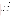not exceed 10 ng, and if the blank PAH concentration is less than 10% of the expected ambient concentration (based on historical averages if available).

## **4.3.3 Shipment of Sampling Components**

Sets of denuders, filters, and XAD-2 traps will be shipped to the test site at weekly to twice-weekly intervals in protective shipping containers by overnight delivery service. These materials will be stored at room temperature and kept sealed until the time of use. After sample collection, the sampling components will be resealed in their original containers and kept refrigerated (below 4"C) until enough samples are collected for a return shipment to Battelle. Refrigerated samples will then be returned to Battelle in the same containers used for shipment to the site. Field blank sampling materials will undergo the same handling and shipment procedures as actual samples. Temperature records of the shipped samples will accompany the samples.

### **4.3.4 Field Sampling for PAH**

Sampling for particle-phase PAH is scheduled to take place at the respective test site on each day of both test phases. At least 10 % of the PAH samples collected and analyzed will be field blanks. Field blanks will be collected by inserting the filter/sorbant assembly into the sampler and removing the assembly without sampling.

The air flow rate of the PAH sampler will also be checked as part of the field performance audit schedule at each site as a quality control procedure. The procedures sampler operation and for flow rate checks are provided by the manufacturer in the operator manual.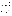Test/QA Plan for the Verification of Ambient Fine Particle Monitors Page 41 of 62 Version: 1.1 June 14, 2000

#### **4.3.5 PAH Analysis**

Upon return to Battelle, each quartz fiber filter and its corresponding XAD-2 resin trap will be extracted in methylene chloride using Soxhlet apparatus, and the extracts will be concentrated to less than 1 mL volume. Analysis will be by GC/MS using the electron impact mode of ionization. All samples and blanks will be spiked prior to extraction with perdeuterated PAH as internal standards in the analysis. The particle-phase PAH data obtained from the filter/XAD combinations will be the primary basis for comparison with the continuous PAH monitor.

Performance verification of the continuous PAH monitor will be based on the response of the monitor to only those particle-bound PAH species which are expected to be ionized by the light source employed in the monitor (i.e., the ionization potential is below the photon energy).

# **5. MATERIALS AND EQUIPMENT**

In general, this verification test relies on the materials and equipment in use as part of routine monitoring efforts at each of the two field sites. The equipment in use as part of those studies will be operated and maintained by the personnel at the respective sites. In addition to the on-site equipment operated by the test site, Battelle will provide the following equipment as needed.

## **5.1. FRM Sampler**

A single filter BGI PQ200 FRM sampler will be provided, as needed, to the test sites for use during the verification test. Filter transport cases and extra filter cassettes will be provided, as will a BGI DataTrans module for retrieval of stored sampling information.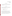#### **5.2. Speciation Sampler**

An Andersen RAAS2.5-400 Chemical Speciation sampler, or similar sampler, will be provided, as needed, to the test sites for use during verification. Filter transport cases and extra filter cassettes will be provided.

## **5.3. PAH Sampler**

The sampler to be used for the PAH sampling will be provided by Battelle for each phase of the verification test. The sampler will be equipped with the following components for the separation and collection of particle-phase PAH:

- commercial annular denuder coated with XAD-4 resin
- quartz fiber filter
- glass backup trap containing XAD-2 resin.

These components will be prepared and shipped to the respective sites by Battelle weekly to twice weekly during the individual verification test phases. After sample collection, these assemblies will be properly stored and shipped back to Battelle by site staff for analysis.

The other components of the sampler include the inlet, vacuum system, and pump. These components will be shipped to the respective site before each phase of testing for installation on the sampling platform. These components will be provided as either a stand-alone unit or as a train in a commercial speciation sampler (i.e., Andersen RAAS2.5-400, etc.).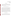#### **5.4. Sampling Media**

All materials necessary for sampling specifically associated with this verification test, including filters, denuders, and sorbant traps, will be supplied by Battelle. Arrangements for delivery dates and locations will be made with the respective Test Site Management or On-Site Operators by the Verification Test Coordinator.

# **6. QUALITY ASSURANCE/QUALITY CONTROL**

This verification effort relies in part on the existing QA/QC programs in place at the DOE/NETL and Fresno sites. That is, the QA/QC procedures for the studies ongoing at each site will be adopted as part of this verification test. Each site has established QA/QC activities in accordance with appropriate guidelines from various sources including NARSTO, EPA, and DOE. These procedures cover daily operation of the site equipment, calibration, sample collection and handling, laboratory analysis, data collection and handling, as well as scheduled auditing. These procedures will be followed by site staff throughout the duration of testing at these sites, including the period during which the verification test is conducted. Adherence to those existing data quality procedures that relate to this test will be assessed by Battelle QA personnel, through review of procedures during the field verification periods. Additional QA/QC procedures specific to this verification test are described below.

#### **6.1. Sample Collection/Transfer**

Samples collected using Battelle-supplied equipment will be collected by On-Site Operators daily during each phase of the test according to the procedures described in this test/QA plan. After receipt by the On-Site Operators, filters and other necessary sampling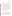Test/QA Plan for the Verification of Ambient Fine Particle Monitors Page 44 of 62 Version: 1.1 June 14, 2000

materials (i.e., denuders, PUF cartridges) for collection of these samples, as well as for the collection of field blanks, will be kept in a clean, temperature and humidity controlled environment until transported to the test site for sampling. If kept off-site these sampling materials will be transported to the site by the On-Site Operators so as to avoid contamination. Filters and other sampling materials will receive unique codes for identification according to the procedures of the On-Site Operators or Contract Analytical Laboratory depending on which party prepares the materials for sampling. Each sample will be accompanied by a chain-of-custody form during each step of it's transport. Information on these forms will be completed by the sample sender and recipient as needed. Chain-of-custody forms will accompany samples which will be transported to or from the Contract Analytic Laboratories which are independent of the On-Site Operators. Sample run data forms documenting the sampling parameters will be completed by the On-Site Operators for each sample. On-Site Operators will forward these sample run data forms to the Verification Test Coordinator for approval within one week of the sampling date. The Contract Analytical Laboratories will forward the chain-of-custody forms to the Verification Test Coordinator for approval within one week of completion of the sample analysis. Approval of these records will be indicated by the signature of the Verification Test Coordinator on each form. Example forms are shown in Appendix A.

## **6.2. Data Collection/Transfer**

Data from the time integrated and continuous monitors operated at each site and the results of laboratory analyses will be recorded according to the procedures described in the respective test plans for the sites or standard operating procedures, and will transferred to Battelle after validation procedures are performed. The data received by Battelle from each site will be maintained by Battelle's Verification Test Coordinator, and information regarding specific technologies being tested will be kept confidential while under the control of Battelle.

Data generated by Battelle or on behalf of Battelle for this verification test, and that is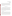Test/QA Plan for the Verification of Ambient Fine Particle Monitors Page 45 of 62 Version: 1.1 June 14, 2000

not already covered by procedures at the test site will be recorded either electronically, on data sheets, or in laboratory notebooks. These data include those associated with particulate PAH measurements, and will include observations on the operation of the monitors being tested, weather observations, and other information. These data will be compiled in electronic format and, excluding confidential information about specific technologies being verified, will be made available to each site upon request.

#### **6.3. Field QA/QC Activities**

A variety of QA/QC activities will be performed by the On-Site Operators at the test sites to ensure that the samplers provided by Battelle are operating properly. These activities include flow rate checks, internal and external leak checks, as well as checks of the temperature and pressure sensors in the samplers. QA/QC activities associated with the reference methods supplied by the test sites will be conducted according to the procedures in place at the respective sites and the results will be provided to Battelle. For the reference methods supplied by Battelle, the QA/QC activities to be performed are based on those described in the manuals for the respective samplers and are summarized below.

### **6.3.1 Flow Rate Check**

The flow rate of the reference samplers provided by Battelle will be verified through single point checks to ensure the proper operation of the samplers. These flow rate checks will be conducted based on the procedures described in the respective manuals, and will be conducted at least once before (within one week of the start) and again once after (within one week of the end) each phase of the verification test. The flow rates will be checked using a calibrated flow meter to verify that the sampler is operated at a flow rate within +/- 5 % of the nominal operating flow rate of the sampler. Also, if the sampler includes an internal flow meter, agreement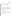Test/QA Plan for the Verification of Ambient Fine Particle Monitors Page 46 of 62 Version: 1.1 June 14, 2000

between the audit flow meter and the sampler flow meter must be within  $+/- 4\%$ . If  $+/- 5\%$ agreement between the sampler flow rate and the nominal operating flow rate is not achieved, the sampler flow rate will be manually adjusted to meet this performance criterion. If agreement between the sampler and audit flow meters does not meet the +/- 4% acceptance criterion, recalibration of the sampler flow meter will be performed per the procedures in the operators manual.

### **6.3.2 Leak Checks**

Internal and external leak checks of the reference samplers provided by Battelle will be performed to ensure the integrity of the sampling system. These leak checks will be performed based on the procedures described in the respective sampler manuals and will be conducted at least weekly during each phase of the verification test. Leak checks of the FRM sampler will be conducted after each cleaning of the Well-Impactor Ninety Six (WINS) impactor in the FRM sampler. The WINS impactor will be cleaned at least once every 5 sampling days. Acceptance criteria and corrective actions for these activities are described in the respective manuals for the reference samplers.

### **6.3.3 Temperature and Pressure Checks**

Single point calibration checks of the temperature and pressure sensors in the reference samplers provided by Battelle will be conducted based on the procedures described in the respective manuals. These checks will be performed at least twice during each phase of the verification test, once within one week of the beginning and once within one week of the end of each phase. Acceptance criteria and corrective actions for these activities are described in the respective manuals for the reference samplers.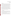Test/QA Plan for the Verification of Ambient Fine Particle Monitors Page 47 of 62 Version: 1.1 June 14, 2000

#### **6.3.4 Field Blanks**

Field blanks will be collected and analyzed for all the reference methods supplied by Battelle to assess the contamination levels associated with activities other than sampling. The field blanks will be collected by placing the sampling media in the sampler and removal without sampling. At least 10% of the collected samples will be field blanks. The acceptance criteria and corrective actions for the field blanks will be established based on procedures in place at the respective Contract Analytical Laboratories (based on historical averages if available).

For the field blanks for the PAH sampler, at least one will be collected within the first 3 days of sampling, and again within the last week of sampling of each test phase, with at least one additional blank collected during each phase. Blank levels for the PAH sampler will be considered acceptable if the mass of each individual PAH species, excluding naphthalene, does not exceed 20 ng on the filter/sorbent assembly, and if the blank PAH concentration is less than 10 % of the average ambient concentration. For naphthalene, the acceptance level for the blank sample is 200 ng. If this acceptance criterion is not met, the source of the contamination will be investigated, and the sample will be flagged as of questionable validity.

#### **6.3.5 Collocated Samplers**

The precision of the reference methods provided by Battelle will be established by collocation of each reference sampler with an identical or a similar sampler. The collocated samplers will be placed within four meters of each other and will collect at least five 24-hour samples to establish precision. This collocated sampling will be completed at the verification test site, before the start of the verification test sampling.

For the FRM reference method, agreement between the duplicate samples must be within 10% to be considered acceptable. If this agreement criterion is not met, the source of the discrepancy will be investigated, additional samples will be collected, and the analyses will be repeated.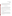Test/QA Plan for the Verification of Ambient Fine Particle Monitors Page 48 of 62 Version: 1.1 June 14, 2000

For the chemical speciation (nitrate, sulfate, carbon, and PAH) reference methods, the duplicate samples will be analyzed concurrently, and agreement between the observed concentration of each analyte must be within +/- 35% to be acceptable. If this agreement criterion is not met, the source of the discrepancy will be investigated, and if possible additional samples will be collected, and the analyses will be repeated.

## **6.4. Laboratory QA/QC Activities**

QA/QC practices performed by the laboratories used to conduct all the chemical and gravimetric analyses for this verification test, except for the PAH analysis, are described in their respective standard operation procedures or laboratory quality manuals. These activities include instrument calibration and verification, as well as analysis of laboratory and lot blanks. The acceptance criteria and corrective actions for these activities are described in the respective procedures.

Battelle will conduct the PAH analysis according to procedures based on ASTM Method D-6209-98. QA/QC activities for these analyses include analysis of laboratory blanks, analytical duplicates, and analytical spikes as described below.

## **6.4.1 Laboratory Blanks**

At least one sorbant/filter assembly from each batch of prepared assemblies will be analyzed as a laboratory blank. These blanks will undergo the same preparation and handling procedures as those traps which are shipped to the test sites for sampling, but will not be shipped or exposed to sampling. The laboratory blanks will be analyzed at the same time as the PAH samples. Acceptance criteria and corrective actions for these laboratory blanks will be the same as those for the PAH field blanks.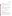Test/QA Plan for the Verification of Ambient Fine Particle Monitors Page 49 of 62 Version: 1.1 June 14, 2000

#### **6.4.2 Analytical Duplicates**

For the PAH analyses, an analytical duplicate of one sample will be run for each batch of samples analyzed to assess the precision of the analytical method. Agreement between the results from the duplicate analyses must be within 15% to be acceptable. If this agreement criterion is not met, the source of the discrepancy will be investigated and the analyses will be repeated, if possible.

#### **6.4.3 Analytical Spikes**

Analytical spikes will be used to assess the accuracy of the PAH analytical method. Each sample will be spiked prior to extraction with 100 ng each of pyrene- $d_{10}$  and chrysene- $d_{12}$  to serve as surrogate recovery standards. The percent recovery of each standard must be within +/-30% to be acceptable. If this agreement criterion is not met, the source of the discrepancy will be investigated and appropriate corrective action will be taken.

### **6.5. Assessments and Audits**

Independent of site and EPA QA activities, Battelle will be responsible for ensuring that the following audits are conducted as part of this verification test.

## **6.5.1 Performance Audits**

### *Reference methods supplied by the test sites*

Performance evaluation audits of the reference methods supplied and operated by the test sites, and of the laboratory analyses, will be performed according to the procedures and schedules provided in the procedures for the respective sites and Contract Analytical Laboratories, respectively. The audits of the reference samplers may include, among other activities, flow rate checks of the reference method samplers using calibrated flow meters to ensure proper flow during sample collection, and collocation of audit samplers with the reference samplers to assess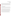the precision of the reference methods. Performance evaluation audits for laboratory analysis include calibration checks of balances and other analytical instrumentation, as well as analysis of blank samples. Acceptance criteria and corrective actions for these quality assurance activities are provided in the test plans or in the standard operating procedures for the respective sites or analytical laboratory. When possible Battelle QA staff will be present during the performance of these audits.

## *Reference methods supplied by Battelle*

Performance evaluation audits of the reference method equipment supplied by Battelle will be performed during the verification test. These audits include verification of the sampler flow rate, as well as verification of the temperature and pressure sensors to ensure proper sampler operation.

Performance evaluation audits of the flow rate, as well as the temperature and pressure sensors for the reference samplers provided by Battelle will be conducted according to the procedures described above in Section 6.2 with the same acceptance criteria and corrective actions. These audits will be conducted using sensors with NIST-traceable calibrations that are not those used for the usual checks described in Section 6.2 but may be traceable to the same primary standards. The audits will be observed by Battelle staff when possible, and when possible, will be performed by someone other than the usual On-Site Operator. These performance evaluation audits will be conducted at least once during each phase of the verification test and may be conducted within one month of the beginning of each phase.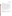Test/QA Plan for the Verification of Ambient Fine Particle Monitors Page 51 of 62 Version: 1.1 June 14, 2000

#### **6.5.2 Technical Systems Audits**

Battelle's Quality Manager will perform a technical systems audit (TSA) at least once during each phase of this verification test. The purpose of this audit is to ensure that the verification test is being performed in accordance with this test/QA plan and that all QA/QC procedures are being implemented. In this audit, the Quality Manager will review the reference methods used, compare actual test procedures to those specified or referenced in this plan, and review data acquisition and handling procedures. This effort will include reviewing the procedures used at the test site for compliance with this test/QA plan and with the SOPs for the respective site. When possible, a TSA of the Contract Analytical Laboratories will be conducted to ensure that analyses are being performed in accordance with the requirements of this test/QA plan and the SOPs of the laboratory. A TSA report will be prepared, including a statement of findings and the corrective actions taken to address any adverse findings.

At EPA's discretion, EPA QA/QC staff may also conduct an independent TSA of the verification test. In any case, EPA QA/QC staff will review Battelle's TSA report, and provide comments on the findings and actions presented in that report.

## **6.5.3 Data Audits**

Battelle's Quality Manager will audit at least 10 percent of the verification data acquired during the verification test. The Quality Manager will trace the data from initial acquisition, through reduction and statistical comparisons, and to final reporting. All calculations performed on the data undergoing the audit will be checked.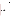## **6.6. QA/QC Reporting**

Each assessment and audit will be documented in accordance with Section 2.9.7 of the QMP for the AMS pilot.<sup>1</sup> Assessment reports will include the following:

- Identification of any adverse findings or potential problems
- Response to adverse findings or potential problems
- Recommendations for resolving problems
- Confirmation that solutions have been implemented and are effective
- Citation of any noteworthy practices that may be of use to others.

## **6.7. Corrective Action**

The Battelle or EPA Quality Managers during the course of any assessment or audit will identify to the technical staff performing experimental activities any immediate corrective action that should be taken. If serious quality problems exist, the Battelle Quality Manager is authorized to stop work. Once the assessment report has been prepared, the Verification Test Coordinator will ensure that a response is provided for each adverse finding or potential problem, and will implement any necessary follow-up corrective action. The Battelle Quality Manager will ensure that follow-up corrective action has been taken.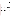# **7. DATA HANDLING AND REPORTING**

## **7.1. Data Acquisition**

A variety of data will be acquired and recorded electronically, or manually, by site or laboratory personnel in each phase of the verification test. After the prescribed validation at the respective test site, these data, including most reference method results, meteorological conditions, precursor gas concentrations, and the data from the technologies being verified, will be transferred to Battelle either electronically or in hard copy for subsequent reduction and analysis. Other data, namely PAH concentrations, will be generated by Battelle. These data will be compiled in electronic format and will be shared with the host sites. In all cases, strict confidentiality of the verification data will be maintained for each participating vendor. This will be accomplished in part by storing electronic data under separate and clearly identifiable computer file names. All hard copy information similarly will be maintained in separate folder files. At no time during verification testing will Battelle engage in any comparison or discussion of test data or intercomparison of different monitors undergoing verification. However, much of the data used in this verification test will be obtained from sources outside of the control of Battelle. Consequently, the same data that are used for technology verification through ETV may be used in intercomparative studies by other organizations.

## **7.2. Data Review**

Records received by or generated by Battelle staff in the verification test will receive a one-over-one review within two weeks after receipt or generation, respectively, before these records are used to calculate, evaluate, or report verification results. These records may include electronic records; laboratory record books; operating data from the test site; or equipment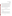Test/QA Plan for the Verification of Ambient Fine Particle Monitors Page 54 of 62 Version: 1.1 June 14, 2000

calibration records. This review will be performed by a Battelle technical staff member involved in the verification test, but not the staff member that originally received or generated the record. The review will be documented by the person performing the review by adding his/her initials and date to a hard copy of the record being reviewed. This hard copy will then be returned to the Battelle staff member who received or generated or who will be storing the record.

In addition, data calculations performed by Battelle will be spot-checked by Battelle technical staff to ensure that calculations are performed correctly. Calculations to be checked include determination of predictability or comparability, intra-method precision, and other statistical calculations to assess meteorological and precursor gas effects, and short term monitoring capabilities as identified in Section 7.3 of this test/QA plan.

## **7.3. Statistical Calculations**

Performance verification is based, in part, on statistical comparisons of continuous monitoring data to results from the reference methods. A summary of the calculations to be made is given below.

#### **7.3.1 Comparability**

The comparability between the continuous monitors and reference methods will be assessed only for monitors which yield measurements with the same units of measure as the reference method with which it is being compared. The relationship between the two will be assessed from a linear regression of the data using the reference method results as the independent variable and the continuous monitor results as the dependent variable as follows:

$$
C_i = \mu + \lambda R_i + \dot{\mu}
$$
 (1)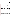Test/QA Plan for the Verification of Ambient Fine Particle Monitors Page 55 of 62 Version: 1.1 June 14, 2000

where  $R_i$  is the i<sup>th</sup> reference measurement (for a 24 hour period),  $C_i$  is the average of the continuous measurements over the same 24 hour time period as the  $i<sup>th</sup>$  reference measurement,  $\mu$ and م are the intercept and slope parameters, respectively, and نis error unexplained by the model. The average of continuous measurements is used as this is the quantity that is most comparable to the reference sampler measurements.

Comparability will be expressed in terms of bias between the continuous monitor and the reference method and the degree of correlation  $(i.e., r^2)$  between the two. Bias will be assessed based on the slope and intercept of the linear regression analysis of the data from the reference method and the continuous monitor. In the absence of bias, the regression equation would be  $C_i$  $=R_i + \dot{Q}$  (slope = 1, intercept = 0) indicating that the 24 hour average of continuous measurements is simply the reference measurement plus random error. A value of  $r^2$  close to 1 implies that the amount of random error is small, that is, the variability in the continuous measurements is almost entirely explained by the variability in the reference measurements.

Quantities to be reported include sample size,  $r^2$ , estimates and standard errors of the intercept and slope parameters, and the numbers of standard errors between the slope estimate and unity and between the intercept estimate and zero.

Comparability will be determined independently for each of the two duplicate monitors being tested and will be assessed separately for each phase of the verification test.

## **7.3.2 Predictability**

Predictability will be assessed for continuous monitors which report results in units which are different than those of the reference method with which it is being compared. In these cases the reported predictability will be representative of the usefulness of that monitor as a surrogate of the reference method, i.e., its ability to predict the measurement made by the reference method. The relationship between the two will be assessed from a linear regression of the data using the reference method results as the independent variable and the continuous monitor results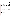US EPA ARCHIVE DOCUMENT

Test/QA Plan for the Verification of Ambient Fine Particle Monitors Page 56 of 62 Version: 1.1 June 14, 2000

as the dependent variable. The predictability of the continuous monitor will be expressed by the correlation coefficient of a linear regression analysis, and the slope and intercept of the regression analysis can be used to express the relationship between the two. The statistical model to be used is identical to model (1) for comparability. Quantities to be reported include sample size,  $r^2$ , and estimates and standard errors of the intercept and slope parameters. Additionally, by reversing the roles of the independent and dependent variables, a 95% percent prediction interval will be calculated for conversion from monitor measurement units to lower and upper bounds on reference method measurement units.

Predictability will be determined independently for each of the two duplicate monitors being tested and will be assessed separately for each phase of the verification test.

#### **7.3.3 Precision**

The intra-method precision of the continuous monitors will be determined based on procedures described in Section 5.5.2 of EPA 40 CFR 58, Appendix A, which contains guidance for precision assessments of collocated non-FRM samplers. Simultaneous measurements from duplicate monitors will be paired and the behavior of their differences used to assess precision. The following statistics will be reported for each parameter measured: sample size, mean difference, standard deviation of the difference, coefficient of variation (CV), and a 90% confidence interval for CV. As suggested by the EPA guidance, only measurements above level of detection will be used in precision calculations. The CV is defined as the standard deviation of the differences divided by the mean of the measurements and expresses the variability in the differences as a percentage of the mean.

Precision will be assessed separately for each phase of the verification test.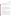where the  $X_{ji}$ 's are meteorological and/or precursor gas measurements for the i<sup>th</sup> 24 hour time period, the  $\sim_j$ 's are the associated slope parameters, and other notation is as before. Comparability and predictability results will be reported again after these variables are adjusted for in the model. Additionally, estimates and standard errors of the  $\rightarrow j$ 's will be provided.

Meteorological effects and precursor gas interferences will be assessed independently for each of the two duplicate monitors being tested and will be assessed separately for each phase of the verification test.

### **7.3.5 Short-Term Monitoring Capabilities**

The capabilities of these monitors will be assessed from comparison to gravimetric samples collected of short sampling periods (3-8 hours) by the reference methods. This assessment will be based on linear regression analysis of the short-term sampling results from the continuous monitors and the reference method to which it is being compared. The analysis will be conducted and the results will be reported in a fashion identical to that for the comparability and predictability results described in Sections 7.3.1 and 7.3.2.

Comparisons of this type will be made only after establishing the relationship between the short-term sampling results and the corresponding 24-hour results. The relationship between the two sets of reference measurements will be made by linear regression using the average of the

#### **7.3.4 Meteorological Effects/Precursor Gas Interferences**

The influence of meteorological conditions on the correlation between the continuous monitors and the reference methods will be evaluated by using meteorological data such as temperature, humidity, etc. as parameters in multi-variable analyses of the reference/monitor comparison data. The model to be used is as follows:

$$
C_i = \mu + {}_{\rho} \times R_i + {}_{\rho} {}_{j} \times X_{ji} + \dot{Q}
$$
 (2)

UMENT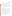results from the short-term sampling as the dependent variable and the 24-hour results as the independent variable in the regression analysis. Comparability will be assessed using equation (1), replacing the average of continuous measures with the average of short-term sampler measurements.

The short term sampling results will also be used to assess the effects of meteorological conditions and precursor gas concentrations on the response of the monitors. These short term results will be used in place of the 24-hour measurements in the analysis described in Section 7.3.4.

Independent assessments will be made for the duplicate monitors and the data from each phase of testing will be analyzed separately.

## **7.3.6 Qualitative Comparisons**

As described in Section 3.5.2, additional qualitative comparisons may be made between the monitors being verified and other monitors provided other monitors are in use on site that are adequately comparable to the  $PM<sub>2.5</sub> FRM.$  A continuous monitor will be considered adequately comparable if, under analysis using equation (1), the squared correlation coefficient  $(r^2)$  is at least 0.90 and the slope and intercept estimates are within three standard deviations of unity and zero, respectively.

Given an adequately comparable continuous monitor, qualitative comparisons between this monitor and the tested monitor will consist of overlaid time-series plots of measurements. Such plots allow visual inspection of similarities and dissimilarities in measurements and temporal patterns continuously over the entire month of data collection.

Similar overlaid time-series plots will be made with the results from the continuous meteorological and precursor gas monitors when appropriate.

Qualitative comparisons will be made separately for each of the two duplicate monitors being tested and for each phase of the verification test.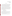Test/QA Plan for the Verification of Ambient Fine Particle Monitors Page 59 of 62 Version: 1.1 June 14, 2000

#### **7.4. Reporting**

The statistical data comparisons that result from each of the tests described above will be conducted separately for each technology being verified, and information on the additional cost factors (i.e., costs associated with calibration gases, etc.) will be reported. Separate verification reports will then be prepared, each addressing an individual technology provided by one commercial vendor. For each test conducted in this verification, the verification report will present the test data, as well as the results of the statistical evaluation of those data.

The verification report will briefly describe the ETV program and the AMS pilot, and will describe the procedures used in verification testing. The parties involved in the verification test will be identified and the roles of each will be described. These sections will be common to each verification report resulting from this verification test. The results of the verification test will then be stated quantitatively, without comparison to any other technology tested, or comment on the acceptability of the technology's performance. Included in the verification report will be descriptions of the following parameters:

- operating conditions during testing,
- instrument settings used during testing,
- and the inlet used during the test.

The preparation of draft verification reports, the review of reports by vendors and others, the revision of the reports, final approval, and the distribution of the reports, will be conducted as stated in the Generic Verification Protocol for the Advanced Monitoring Systems Pilot. Preparation, approval, and use of verification statements summarizing the results of this test will also be subject to the requirements of that same Protocol.

After approval, the final verification reports and verification statements will be made available to the respective vendors in hard-copy, and will be posted on the ETV website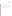(www.epa.gov/etv/). The reports may also be presented or made available at various technical conferences and trade shows.

# **8. HEALTH AND SAFETY**

Before each phase of testing begins, site management will be responsible for reviewing the necessary health and safety requirements and guidance for the respective test sites with Battelle, EPA, and vendor staff. While on site, Battelle staff will operate under these established requirements and guidelines. It is expected that while on site EPA and vendor staff will also operate according to these requirements.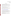Test/QA Plan for the Verification of Ambient Fine Particle Monitors Page 61 of 62 Version: 1.1 June 14, 2000

# **9. REFERENCES**

 $1$  U.S. Environmental Protection Agency, "Quality Management Plan for the ETV Advanced Monitoring Systems Pilot", Environmental Technology Verification Program, prepared by Battelle, Columbus, Ohio, September 1998.

2 U.S. Environmental Protection Agency, "National Primary and Secondary Ambient Air Quality Standards," 40 CFR Part 50, Federal Register, 62 (138):38651-38760, July 18 (1997).

<sup>3</sup> National Research Council, "Research Priorities for Airborne Particulate Matter", National Academy Press, Washington, D.C., 1998.

4 U.S. Environmental Protection Agency, "Ambient Air Quality Surveillance," 40 CFR Part 58, Federal Register, 62 (138):38830-38854, July 18 (1997).

<sup>5</sup> J. C. Chow, "Measurement Methods to Determine Compliance with Ambient Air Quality Standards for Suspended Particles," *J. Air & Waste Manage. Assoc.*, **48**, 320-382, (1995).

<sup>6</sup> A complete list of designated methods can be downloaded from: http://www.epa.gov/ttnamti1/files/ambient/criteria/699pm.pdf

<sup>7</sup> U. S. Environmental Protection Agency, "Guidance for Using Continuous Monitors in PM 2.5 Monitoring Networks", OAQPS, Research Triangle Park, NC, 1998.

<sup>8</sup> Federal Energy Technology Center, "Test Plan and Quality Assurance Procedures-OST PM2.5 Sampling and Analysis Program", draft prepared by Brigham Young University, Provo, UT, and Federal Energy Technology Center, Pittsburgh, PA., 1999.

<sup>9</sup> Desert Research Institute, "Test Plan for Fresno Supersite", draft in preparation by Desert Research Institute, Reno, Nevada.

<sup>10</sup> California Air Resources Board, "Aerometric Monitoring Program Plan for the California Regional  $PM_2$ ,  $/PM_{10}$  Air Quality Study", draft prepared by Desert Research Institute, Reno, Nevada, December, 1998.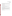Test/QA Plan for the Verification of Ambient Fine Particle Monitors Page 62 of 62 Version: 1.1 June 14, 2000

<sup>11</sup> T. Feeley and C.E. Schmidt, "Ambient Fine Particulate Matter ( $PM_{2.5}$ ) Research Program," U. S. Department of Energy, Federal Energy Technology Center, Pittsburgh, Pennsylvania, December, 1998.

<sup>12</sup> U. S. Environmental Protection Agency, "Draft Supersites Conceptual Plan", OAQPS, Research Triangle Park, NC, 1998.

<sup>13</sup> California Air Resources Board, "Instrument Intercomparison Study - Bakersfield, CA 1998-1999", Sacramento, CA, 1999.

<sup>14</sup> U.S. Environmental Protection Agency, "Guideline on Speciated Particulate Monitoring", OAQPS, Research Triangle Park, NC, 1999.

<sup>15</sup> U. S. Environmental Protection Agency, "Environmental Technology Verification" Program Quality and Management Plan for the Pilot Period (1995-2000)", EPA-600/R-98/064, Cincinnati, Ohio, May 1998.

<sup>16</sup> American Society for Testing and Materials, "Standard Test Method for Determination of Gaseous and Particulate Polycyclic Aromatic Hydrocarbons in Ambient Air (Collection on Sorbent-Backed Filters with Gas Chromatography/Mass Spectrometric Analysis)", ASTM Method D 6209-98, in *Annual Book of Standards, Vol. 11.03*, West Conshohoken, PA, 1998.

17 L. A. Gundel, V. C. Lee, K. R. R. Mahanama, R. K. Stevens, and J. M. Daisey, *Atmos. Environ.*, **29**, 1719-1733, (1995).